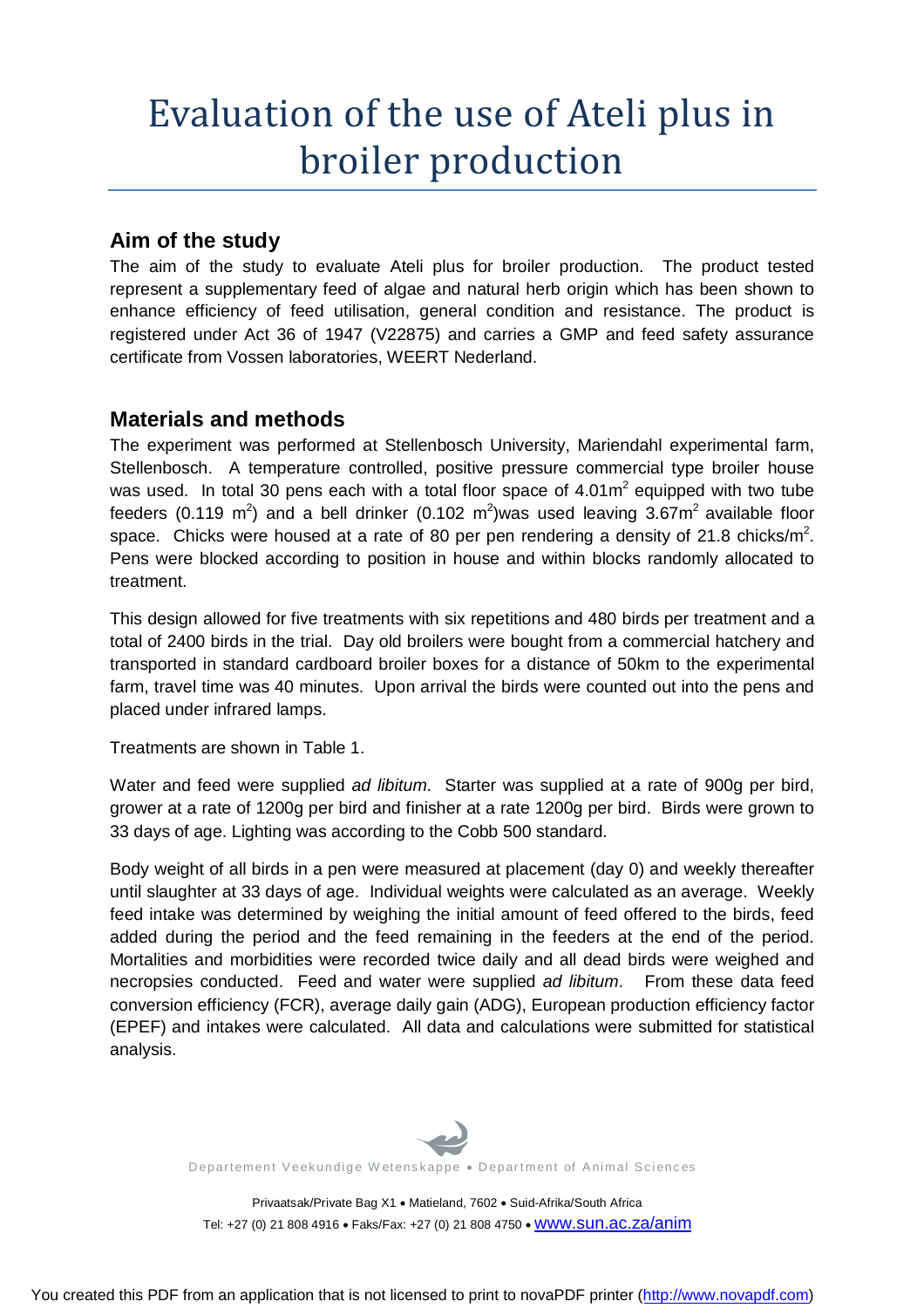# Evaluation of the use of Ateli plus in broiler production

# **Aim of the study**

The aim of the study to evaluate Ateli plus for broiler production. The product tested represent a supplementary feed of algae and natural herb origin which has been shown to enhance efficiency of feed utilisation, general condition and resistance. The product is registered under Act 36 of 1947 (V22875) and carries a GMP and feed safety assurance certificate from Vossen laboratories, WEERT Nederland.

# **Materials and methods**

The experiment was performed at Stellenbosch University, Mariendahl experimental farm, Stellenbosch. A temperature controlled, positive pressure commercial type broiler house was used. In total 30 pens each with a total floor space of  $4.01\text{m}^2$  equipped with two tube feeders (0.119 m<sup>2</sup>) and a bell drinker (0.102 m<sup>2</sup>)was used leaving 3.67m<sup>2</sup> available floor space. Chicks were housed at a rate of 80 per pen rendering a density of 21.8 chicks/m<sup>2</sup>. Pens were blocked according to position in house and within blocks randomly allocated to treatment.

This design allowed for five treatments with six repetitions and 480 birds per treatment and a total of 2400 birds in the trial. Day old broilers were bought from a commercial hatchery and transported in standard cardboard broiler boxes for a distance of 50km to the experimental farm, travel time was 40 minutes. Upon arrival the birds were counted out into the pens and placed under infrared lamps.

Treatments are shown in Table 1.

Water and feed were supplied *ad libitum*. Starter was supplied at a rate of 900g per bird, grower at a rate of 1200g per bird and finisher at a rate 1200g per bird. Birds were grown to 33 days of age. Lighting was according to the Cobb 500 standard.

Body weight of all birds in a pen were measured at placement (day 0) and weekly thereafter until slaughter at 33 days of age. Individual weights were calculated as an average. Weekly feed intake was determined by weighing the initial amount of feed offered to the birds, feed added during the period and the feed remaining in the feeders at the end of the period. Mortalities and morbidities were recorded twice daily and all dead birds were weighed and necropsies conducted. Feed and water were supplied *ad libitum*. From these data feed conversion efficiency (FCR), average daily gain (ADG), European production efficiency factor (EPEF) and intakes were calculated. All data and calculations were submitted for statistical analysis.



Departement Veekundige Wetenskappe . Department of Animal Sciences

Privaatsak/Private Bag X1 · Matieland, 7602 · Suid-Afrika/South Africa Tel: +27 (0) 21 808 4916 · Faks/Fax: +27 (0) 21 808 4750 · WWW.SUN.ac.za/anim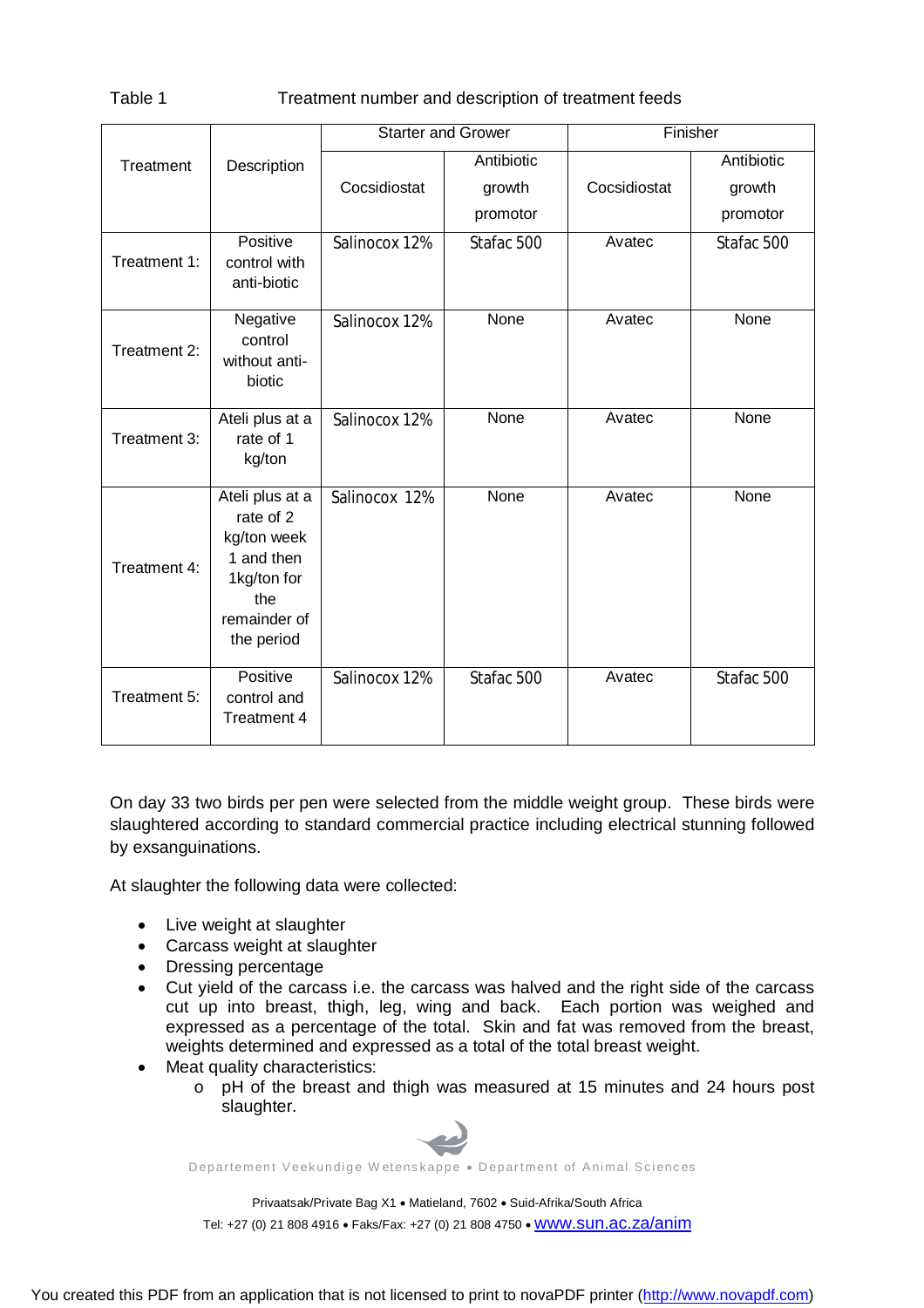#### Table 1 Treatment number and description of treatment feeds

|              |                                                                                                               | <b>Starter and Grower</b> |            |              | Finisher   |
|--------------|---------------------------------------------------------------------------------------------------------------|---------------------------|------------|--------------|------------|
| Treatment    | Description                                                                                                   |                           | Antibiotic |              | Antibiotic |
|              |                                                                                                               | Cocsidiostat              | growth     | Cocsidiostat | growth     |
|              |                                                                                                               |                           | promotor   |              | promotor   |
| Treatment 1: | Positive<br>control with<br>anti-biotic                                                                       | Salinocox 12%             | Stafac 500 | Avatec       | Stafac 500 |
| Treatment 2: | Negative<br>control<br>without anti-<br>biotic                                                                | Salinocox 12%             | None       | Avatec       | None       |
| Treatment 3: | Ateli plus at a<br>rate of 1<br>kg/ton                                                                        | Salinocox 12%             | None       | Avatec       | None       |
| Treatment 4: | Ateli plus at a<br>rate of 2<br>kg/ton week<br>1 and then<br>1kg/ton for<br>the<br>remainder of<br>the period | Salinocox 12%             | None       | Avatec       | None       |
| Treatment 5: | Positive<br>control and<br>Treatment 4                                                                        | Salinocox 12%             | Stafac 500 | Avatec       | Stafac 500 |

On day 33 two birds per pen were selected from the middle weight group. These birds were slaughtered according to standard commercial practice including electrical stunning followed by exsanguinations.

At slaughter the following data were collected:

- Live weight at slaughter
- Carcass weight at slaughter
- Dressing percentage
- Cut yield of the carcass i.e. the carcass was halved and the right side of the carcass cut up into breast, thigh, leg, wing and back. Each portion was weighed and expressed as a percentage of the total. Skin and fat was removed from the breast, weights determined and expressed as a total of the total breast weight.
- Meat quality characteristics:
	- o pH of the breast and thigh was measured at 15 minutes and 24 hours post slaughter.



Departement Veekundige Wetenskappe . Department of Animal Sciences

Privaatsak/Private Bag X1 · Matieland, 7602 · Suid-Afrika/South Africa Tel: +27 (0) 21 808 4916 · Faks/Fax: +27 (0) 21 808 4750 · WWW.SUN.ac.za/anim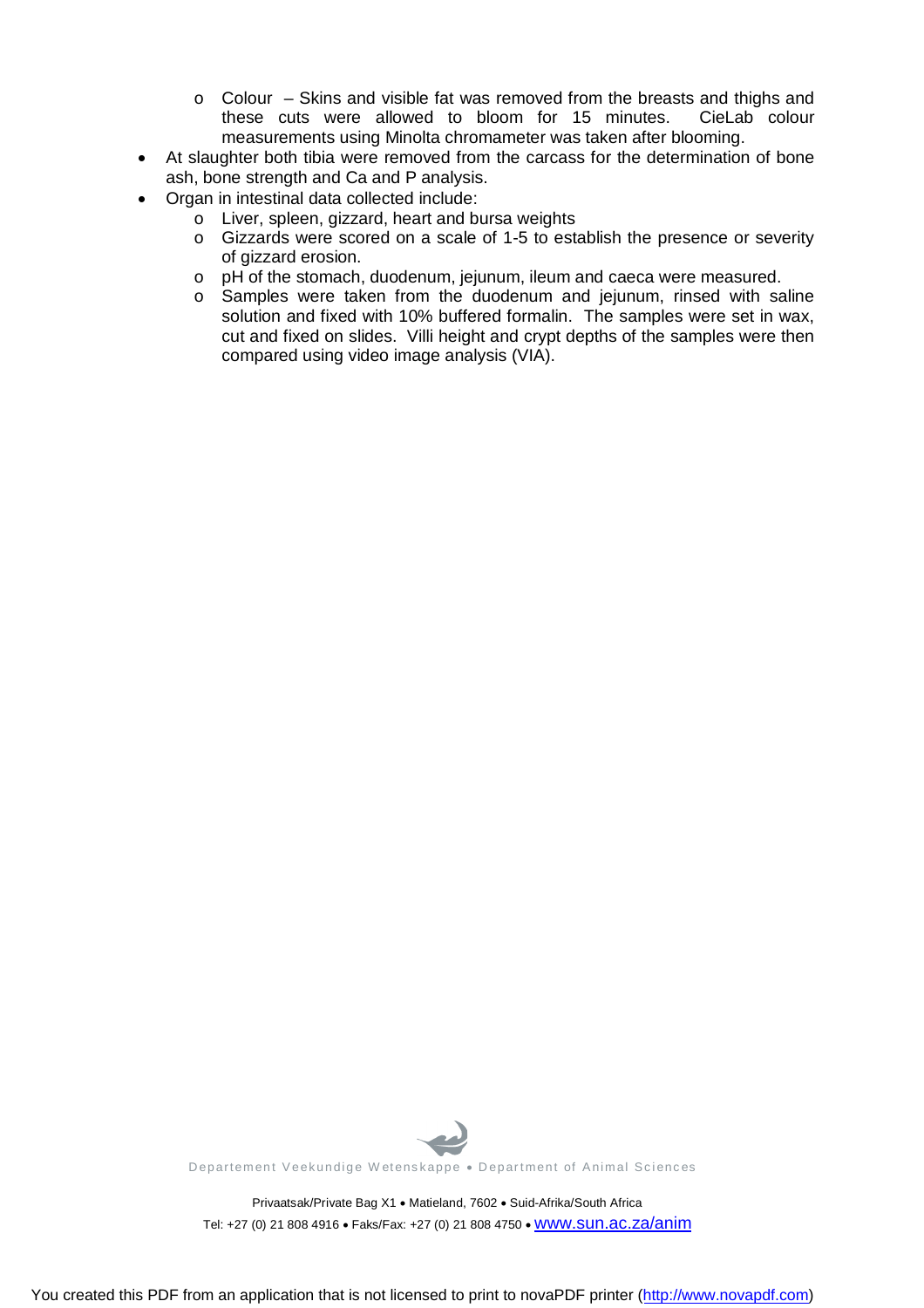- $\circ$  Colour Skins and visible fat was removed from the breasts and thighs and these cuts were allowed to bloom for 15 minutes. CieLab colour measurements using Minolta chromameter was taken after blooming.
- At slaughter both tibia were removed from the carcass for the determination of bone ash, bone strength and Ca and P analysis.
- Organ in intestinal data collected include:
	- o Liver, spleen, gizzard, heart and bursa weights
	- o Gizzards were scored on a scale of 1-5 to establish the presence or severity of gizzard erosion.
	- o pH of the stomach, duodenum, jejunum, ileum and caeca were measured.
	- o Samples were taken from the duodenum and jejunum, rinsed with saline solution and fixed with 10% buffered formalin. The samples were set in wax, cut and fixed on slides. Villi height and crypt depths of the samples were then compared using video image analysis (VIA).



Departement Veekundige Wetenskappe . Department of Animal Sciences

Privaatsak/Private Bag X1 · Matieland, 7602 · Suid-Afrika/South Africa Tel: +27 (0) 21 808 4916 · Faks/Fax: +27 (0) 21 808 4750 · WWW.SUN.ac.za/anim

You created this PDF from an application that is not licensed to print to novaPDF printer ([http://www.novapdf.com\)](http://www.novapdf.com)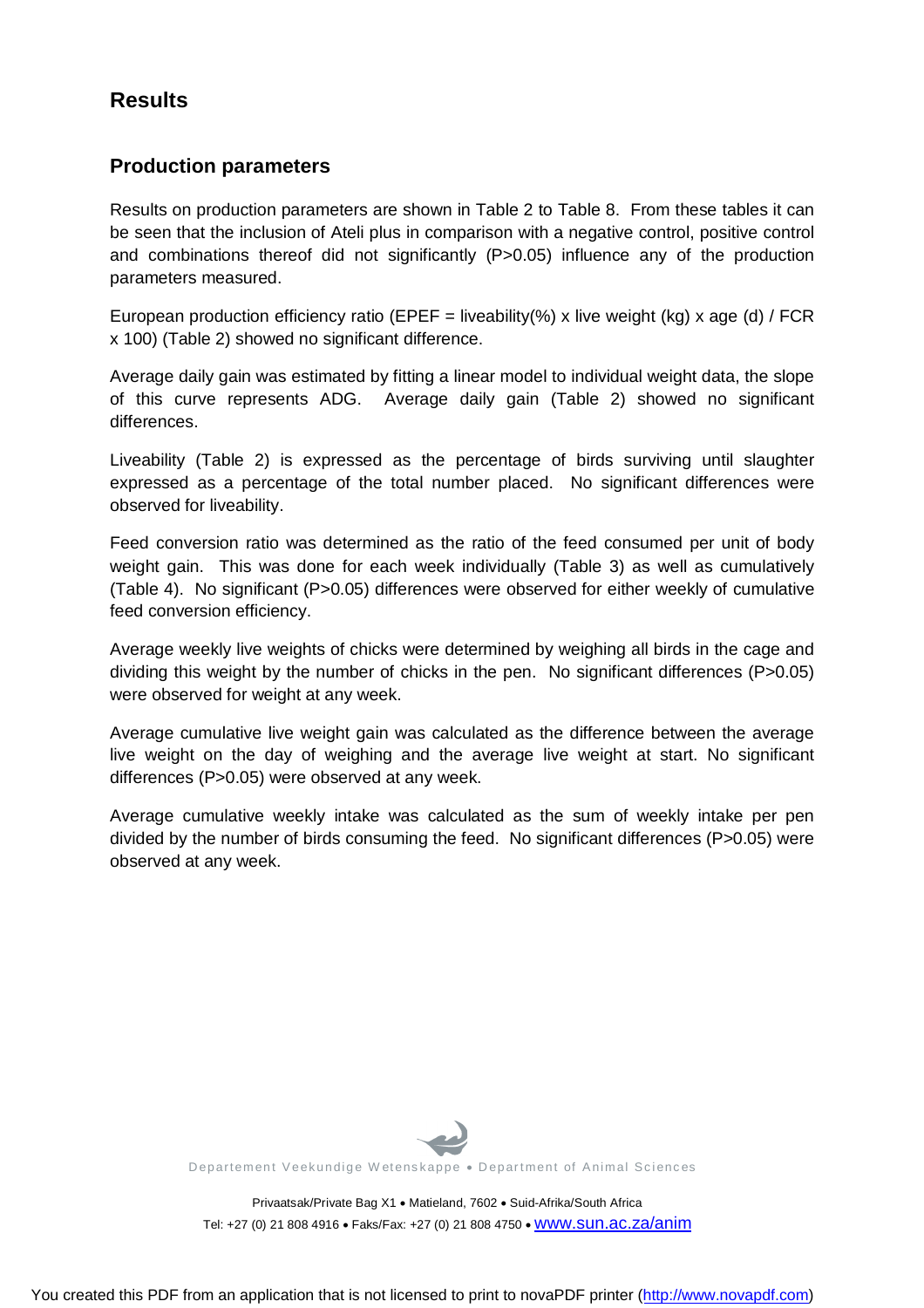# **Results**

#### **Production parameters**

Results on production parameters are shown in Table 2 to Table 8. From these tables it can be seen that the inclusion of Ateli plus in comparison with a negative control, positive control and combinations thereof did not significantly (P>0.05) influence any of the production parameters measured.

European production efficiency ratio (EPEF = liveability(%) x live weight (kg) x age (d) / FCR x 100) (Table 2) showed no significant difference.

Average daily gain was estimated by fitting a linear model to individual weight data, the slope of this curve represents ADG. Average daily gain (Table 2) showed no significant differences.

Liveability (Table 2) is expressed as the percentage of birds surviving until slaughter expressed as a percentage of the total number placed. No significant differences were observed for liveability.

Feed conversion ratio was determined as the ratio of the feed consumed per unit of body weight gain. This was done for each week individually (Table 3) as well as cumulatively (Table 4). No significant (P>0.05) differences were observed for either weekly of cumulative feed conversion efficiency.

Average weekly live weights of chicks were determined by weighing all birds in the cage and dividing this weight by the number of chicks in the pen. No significant differences (P>0.05) were observed for weight at any week.

Average cumulative live weight gain was calculated as the difference between the average live weight on the day of weighing and the average live weight at start. No significant differences (P>0.05) were observed at any week.

Average cumulative weekly intake was calculated as the sum of weekly intake per pen divided by the number of birds consuming the feed. No significant differences (P>0.05) were observed at any week.



Departement Veekundige Wetenskappe . Department of Animal Sciences

Privaatsak/Private Bag X1 · Matieland, 7602 · Suid-Afrika/South Africa Tel: +27 (0) 21 808 4916 · Faks/Fax: +27 (0) 21 808 4750 · WWW.SUN.ac.za/anim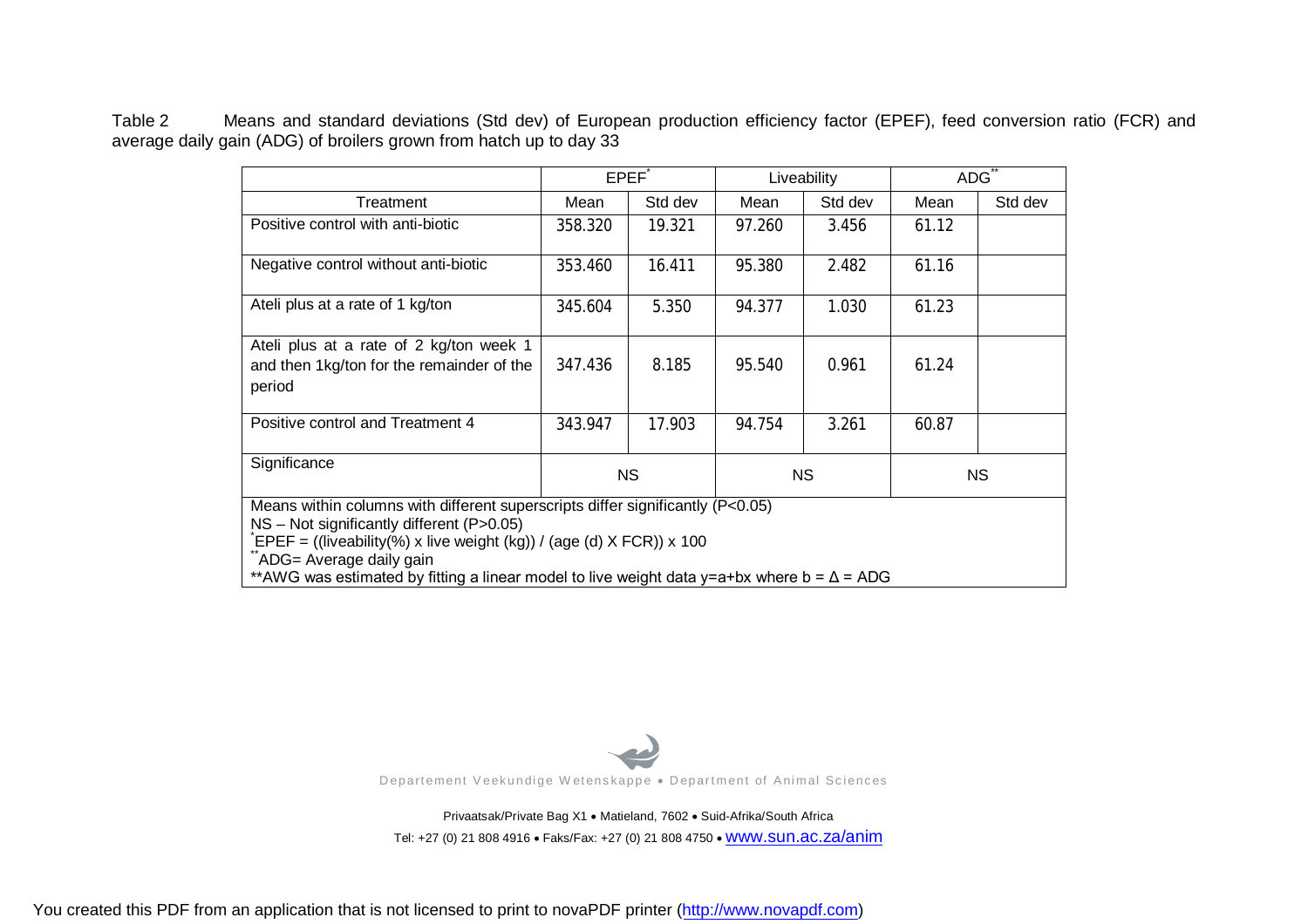Table 2 Means and standard deviations (Std dev) of European production efficiency factor (EPEF), feed conversion ratio (FCR) and average daily gain (ADG) of broilers grown from hatch up to day 33

|                                                                                                                                                                                                                                                                                                                                      |         | EPEF <sup>®</sup> |        | Liveability | ADG <sup>`</sup> |         |  |  |  |  |
|--------------------------------------------------------------------------------------------------------------------------------------------------------------------------------------------------------------------------------------------------------------------------------------------------------------------------------------|---------|-------------------|--------|-------------|------------------|---------|--|--|--|--|
| Treatment                                                                                                                                                                                                                                                                                                                            | Mean    | Std dev           | Mean   | Std dev     | Mean             | Std dev |  |  |  |  |
| Positive control with anti-biotic                                                                                                                                                                                                                                                                                                    | 358.320 | 19.321            | 97.260 | 3.456       | 61.12            |         |  |  |  |  |
| Negative control without anti-biotic                                                                                                                                                                                                                                                                                                 | 353.460 | 16.411            | 95.380 | 2.482       | 61.16            |         |  |  |  |  |
| Ateli plus at a rate of 1 kg/ton                                                                                                                                                                                                                                                                                                     | 345.604 | 5.350             | 94.377 | 1.030       | 61.23            |         |  |  |  |  |
| Ateli plus at a rate of 2 kg/ton week 1<br>and then 1kg/ton for the remainder of the<br>period                                                                                                                                                                                                                                       | 347.436 | 8.185             | 95.540 | 0.961       | 61.24            |         |  |  |  |  |
| Positive control and Treatment 4                                                                                                                                                                                                                                                                                                     | 343.947 | 17.903            | 94.754 | 3.261       | 60.87            |         |  |  |  |  |
| Significance<br>NS.<br>NS.<br>NS.                                                                                                                                                                                                                                                                                                    |         |                   |        |             |                  |         |  |  |  |  |
| Means within columns with different superscripts differ significantly (P<0.05)<br>NS - Not significantly different (P>0.05)<br>EPEF = ((liveability(%) x live weight (kg)) / (age (d) X FCR)) x 100<br>ADG= Average daily gain<br>** AWG was estimated by fitting a linear model to live weight data y=a+bx where b = $\Delta$ = ADG |         |                   |        |             |                  |         |  |  |  |  |



Privaatsak/Private Bag X1 . Matieland, 7602 . Suid-Afrika/South Africa Tel: +27 (0) 21 808 4916 · Faks/Fax: +27 (0) 21 808 4750 · WWW.SUN.ac.za/anim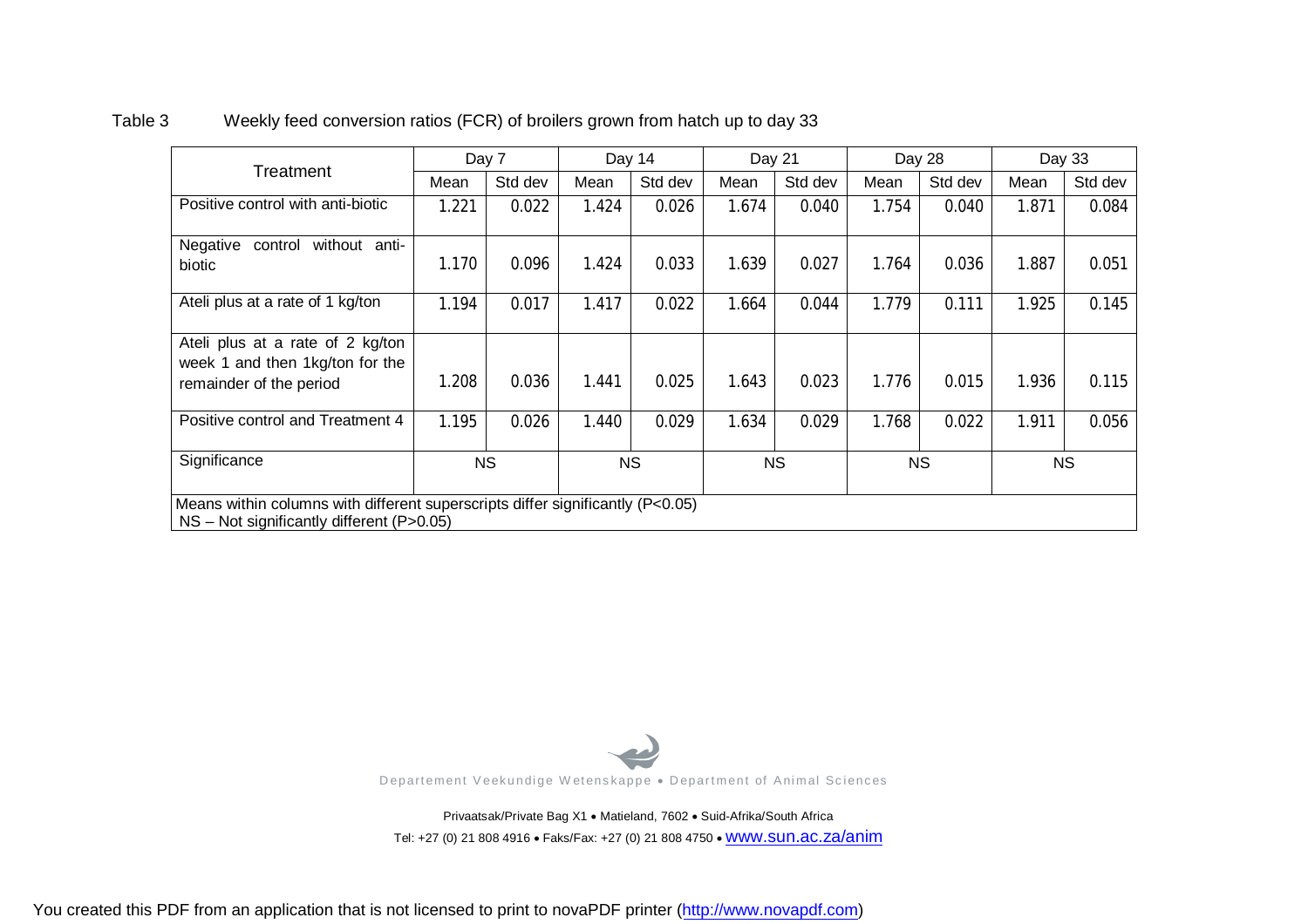# **Treatment** Day 7 Day 14 Day 21 Day 28 Day 33 Mean |Std dev | Mean | Std dev | Mean | Std dev | Mean | Std dev | Mean | Std dev Positive control with anti-biotic | 1.221 | 0.022 | 1.424 | 0.026 | 1.674 | 0.040 | 1.754 | 0.040 | 1.871 | 0.084 Negative control without antibiotic 1.170 0.096 1.424 0.033 1.639 0.027 1.764 0.036 1.887 0.051 Ateli plus at a rate of 1 kg/ton | 1.194 0.017 | 1.417 0.022 1.664 0.044 1.779 0.111 1.925 0.145 Ateli plus at a rate of 2 kg/ton week 1 and then 1kg/ton for the remainder of the period 1.208 | 0.036 | 1.441 | 0.025 | 1.643 | 0.023 | 1.776 | 0.015 | 1.936 | 0.115 Positive control and Treatment 4 | 1.195 | 0.026 | 1.440 | 0.029 | 1.634 | 0.029 | 1.768 | 0.022 | 1.911 | 0.056 Significance | NS | NS | NS | NS Means within columns with different superscripts differ significantly (P<0.05) NS – Not significantly different (P>0.05)

#### Table 3 Weekly feed conversion ratios (FCR) of broilers grown from hatch up to day 33



Privaatsak/Private Bag X1 . Matieland, 7602 . Suid-Afrika/South Africa Tel: +27 (0) 21 808 4916 • Faks/Fax: +27 (0) 21 808 4750 • WWW.SUN.ac.za/anim

You created this PDF from an application that is not licensed to print to novaPDF printer ([http://www.novapdf.com\)](http://www.novapdf.com)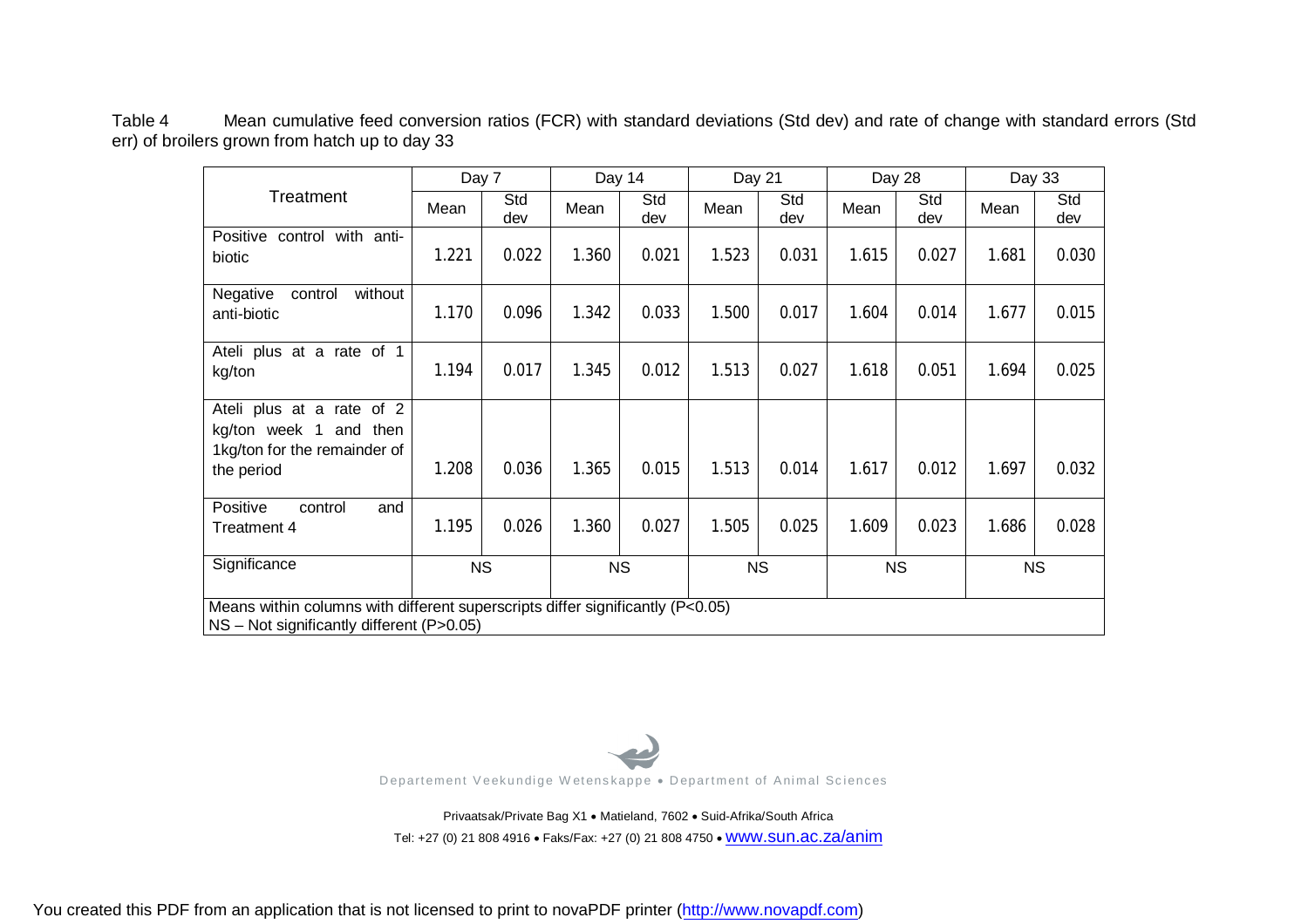Table 4 Mean cumulative feed conversion ratios (FCR) with standard deviations (Std dev) and rate of change with standard errors (Std err) of broilers grown from hatch up to day 33

|                                                                                |       | Day 7      |       | Day 14     | Day 21 |            |       | Day 28     |       | Day 33     |
|--------------------------------------------------------------------------------|-------|------------|-------|------------|--------|------------|-------|------------|-------|------------|
| Treatment                                                                      | Mean  | Std<br>dev | Mean  | Std<br>dev | Mean   | Std<br>dev | Mean  | Std<br>dev | Mean  | Std<br>dev |
| Positive control with anti-                                                    | 1.221 | 0.022      | 1.360 | 0.021      | 1.523  | 0.031      |       | 0.027      |       |            |
| biotic                                                                         |       |            |       |            |        |            | 1.615 |            | 1.681 | 0.030      |
| without<br>Negative<br>control<br>anti-biotic                                  | 1.170 | 0.096      | 1.342 | 0.033      | 1.500  | 0.017      | 1.604 | 0.014      | 1.677 | 0.015      |
| Ateli plus at a rate of 1                                                      |       |            |       |            |        |            |       |            |       |            |
| kg/ton                                                                         | 1.194 | 0.017      | 1.345 | 0.012      | 1.513  | 0.027      | 1.618 | 0.051      | 1.694 | 0.025      |
| Ateli plus at a rate of 2                                                      |       |            |       |            |        |            |       |            |       |            |
| kg/ton week 1<br>and then<br>1kg/ton for the remainder of                      |       |            |       |            |        |            |       |            |       |            |
| the period                                                                     | 1.208 | 0.036      | 1.365 | 0.015      | 1.513  | 0.014      | 1.617 | 0.012      | 1.697 | 0.032      |
| Positive<br>and<br>control                                                     |       |            |       |            |        |            |       |            |       |            |
| Treatment 4                                                                    | 1.195 | 0.026      | 1.360 | 0.027      | 1.505  | 0.025      | 1.609 | 0.023      | 1.686 | 0.028      |
| Significance                                                                   |       | <b>NS</b>  |       | <b>NS</b>  |        | <b>NS</b>  |       | <b>NS</b>  |       | <b>NS</b>  |
| Means within columns with different superscripts differ significantly (P<0.05) |       |            |       |            |        |            |       |            |       |            |
| NS - Not significantly different (P>0.05)                                      |       |            |       |            |        |            |       |            |       |            |



Privaatsak/Private Bag X1 · Matieland, 7602 · Suid-Afrika/South Africa Tel: +27 (0) 21 808 4916 · Faks/Fax: +27 (0) 21 808 4750 · WWW.SUN.ac.za/anim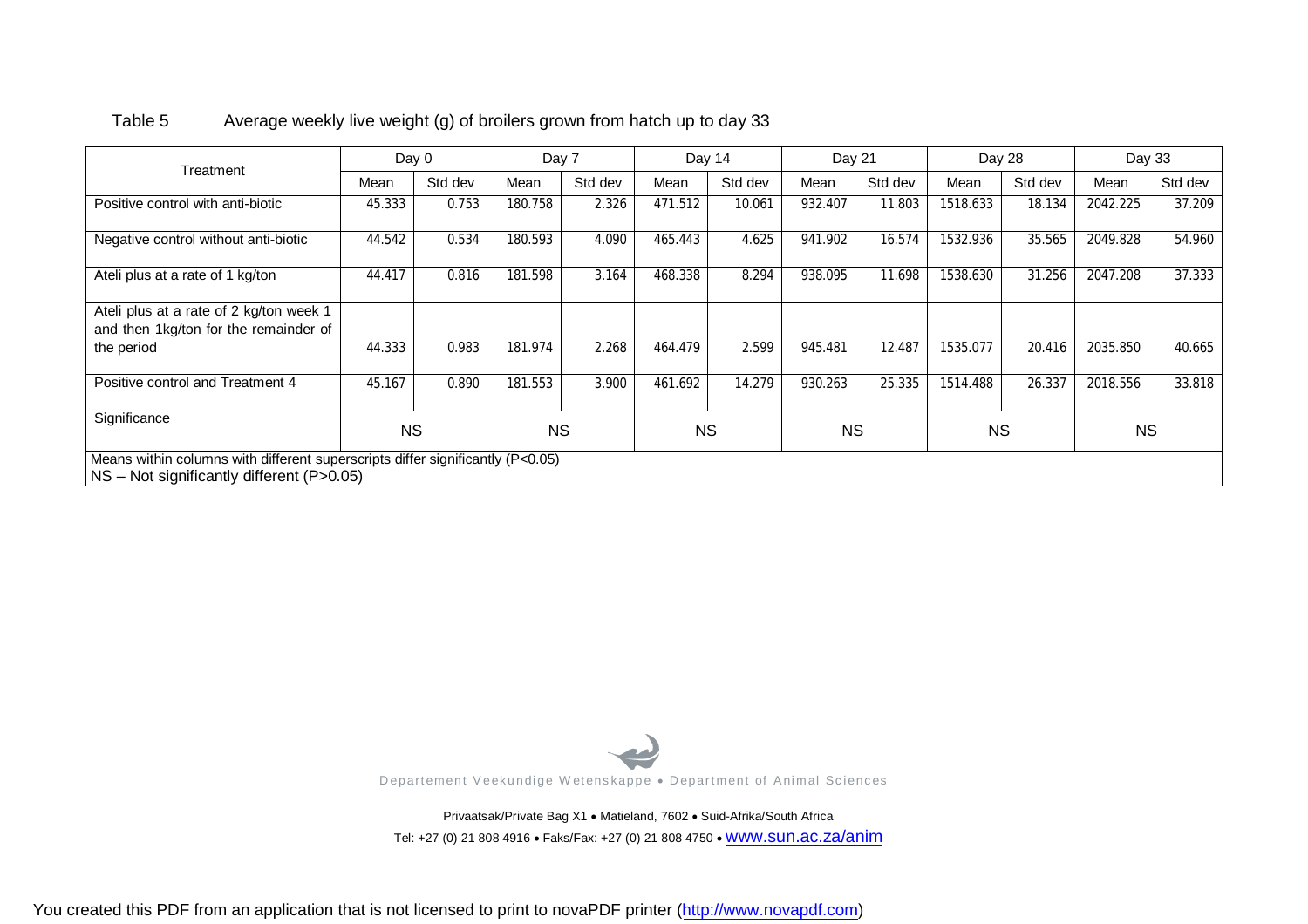| Treatment                                                                                                                     | Day 0     |         | Day 7     |         | Day 14    |         | Day 21    |         | Day 28    |         | Day 33    |         |
|-------------------------------------------------------------------------------------------------------------------------------|-----------|---------|-----------|---------|-----------|---------|-----------|---------|-----------|---------|-----------|---------|
|                                                                                                                               | Mean      | Std dev | Mean      | Std dev | Mean      | Std dev | Mean      | Std dev | Mean      | Std dev | Mean      | Std dev |
| Positive control with anti-biotic                                                                                             | 45.333    | 0.753   | 180.758   | 2.326   | 471.512   | 10.061  | 932.407   | 11.803  | 1518.633  | 18.134  | 2042.225  | 37.209  |
| Negative control without anti-biotic                                                                                          | 44.542    | 0.534   | 180.593   | 4.090   | 465.443   | 4.625   | 941.902   | 16.574  | 1532.936  | 35.565  | 2049.828  | 54.960  |
| Ateli plus at a rate of 1 kg/ton                                                                                              | 44.417    | 0.816   | 181.598   | 3.164   | 468.338   | 8.294   | 938.095   | 11.698  | 1538.630  | 31.256  | 2047.208  | 37.333  |
| Ateli plus at a rate of 2 kg/ton week 1                                                                                       |           |         |           |         |           |         |           |         |           |         |           |         |
| and then 1kg/ton for the remainder of                                                                                         |           |         |           |         |           |         |           |         |           |         |           |         |
| the period                                                                                                                    | 44.333    | 0.983   | 181.974   | 2.268   | 464.479   | 2.599   | 945.481   | 12.487  | 1535.077  | 20.416  | 2035.850  | 40.665  |
| Positive control and Treatment 4                                                                                              | 45.167    | 0.890   | 181.553   | 3.900   | 461.692   | 14.279  | 930.263   | 25.335  | 1514.488  | 26.337  | 2018.556  | 33.818  |
| Significance                                                                                                                  | <b>NS</b> |         | <b>NS</b> |         | <b>NS</b> |         | <b>NS</b> |         | <b>NS</b> |         | <b>NS</b> |         |
| Means within columns with different superscripts differ significantly (P<0.05)<br>$NS - Not$ significantly different (P>0.05) |           |         |           |         |           |         |           |         |           |         |           |         |

#### Table 5 Average weekly live weight (g) of broilers grown from hatch up to day 33



Privaatsak/Private Bag X1 . Matieland, 7602 . Suid-Afrika/South Africa Tel: +27 (0) 21 808 4916 · Faks/Fax: +27 (0) 21 808 4750 · WWW.SUN.ac.za/anim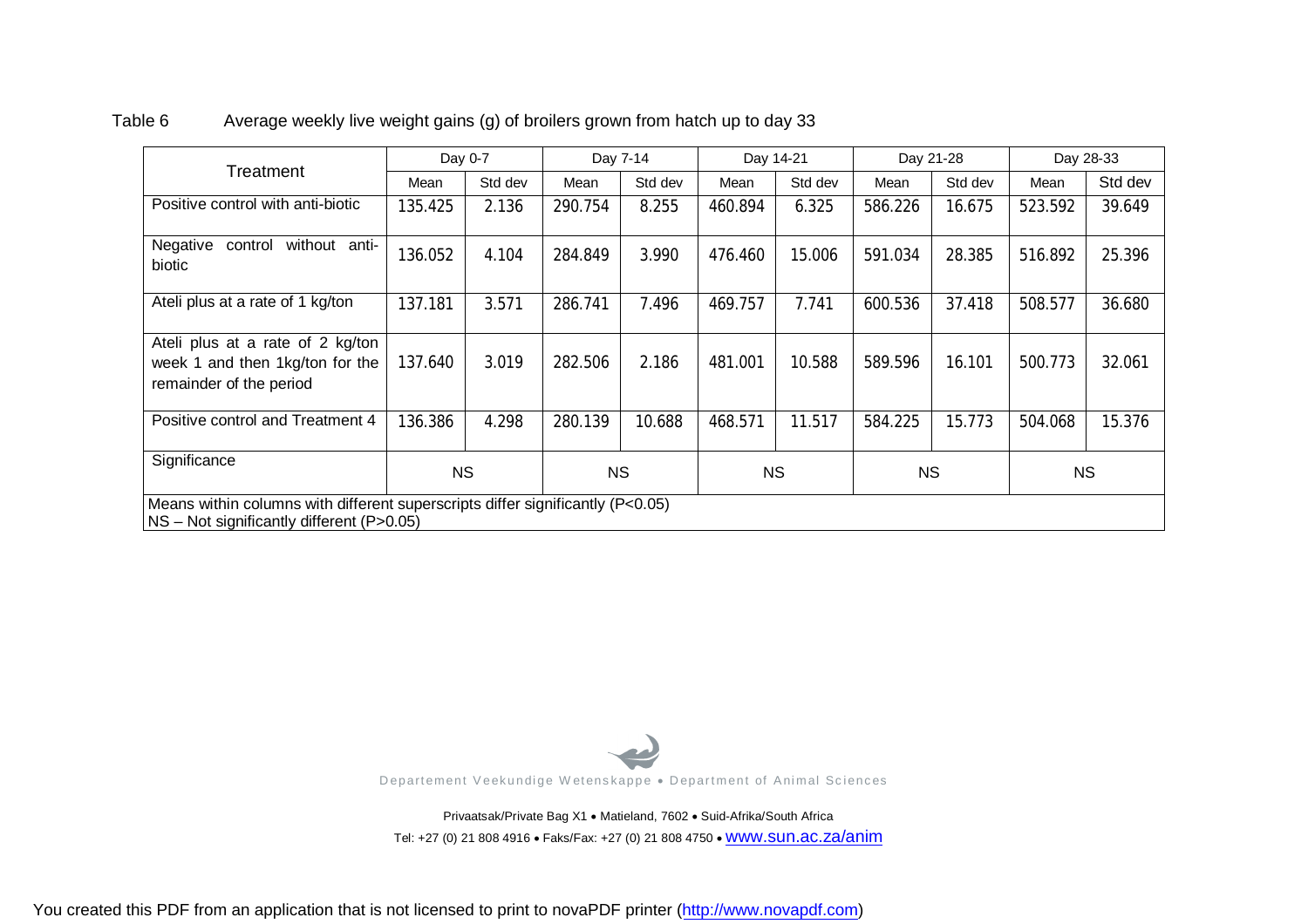|                                                                                                                             |           | Day 0-7 |           | Day 7-14 | Day 14-21 |         | Day 21-28 |         |           | Day 28-33 |
|-----------------------------------------------------------------------------------------------------------------------------|-----------|---------|-----------|----------|-----------|---------|-----------|---------|-----------|-----------|
| Treatment                                                                                                                   | Mean      | Std dev | Mean      | Std dev  | Mean      | Std dev | Mean      | Std dev | Mean      | Std dev   |
| Positive control with anti-biotic                                                                                           | 135.425   | 2.136   | 290.754   | 8.255    | 460.894   | 6.325   | 586.226   | 16.675  | 523.592   | 39.649    |
| Negative<br>without anti-<br>control<br>biotic                                                                              | 136.052   | 4.104   | 284.849   | 3.990    | 476.460   | 15.006  | 591.034   | 28.385  | 516.892   | 25.396    |
| Ateli plus at a rate of 1 kg/ton                                                                                            | 137.181   | 3.571   | 286.741   | 7.496    | 469.757   | 7.741   | 600.536   | 37.418  | 508.577   | 36.680    |
| Ateli plus at a rate of 2 kg/ton<br>week 1 and then 1kg/ton for the<br>remainder of the period                              | 137.640   | 3.019   | 282.506   | 2.186    | 481.001   | 10.588  | 589.596   | 16.101  | 500.773   | 32.061    |
| Positive control and Treatment 4                                                                                            | 136.386   | 4.298   | 280.139   | 10.688   | 468.571   | 11.517  | 584.225   | 15.773  | 504.068   | 15.376    |
| Significance                                                                                                                | <b>NS</b> |         | <b>NS</b> |          | <b>NS</b> |         | <b>NS</b> |         | <b>NS</b> |           |
| Means within columns with different superscripts differ significantly (P<0.05)<br>NS - Not significantly different (P>0.05) |           |         |           |          |           |         |           |         |           |           |

#### Table 6 Average weekly live weight gains (g) of broilers grown from hatch up to day 33



Privaatsak/Private Bag X1 . Matieland, 7602 . Suid-Afrika/South Africa Tel: +27 (0) 21 808 4916 · Faks/Fax: +27 (0) 21 808 4750 · WWW.SUN.ac.za/anim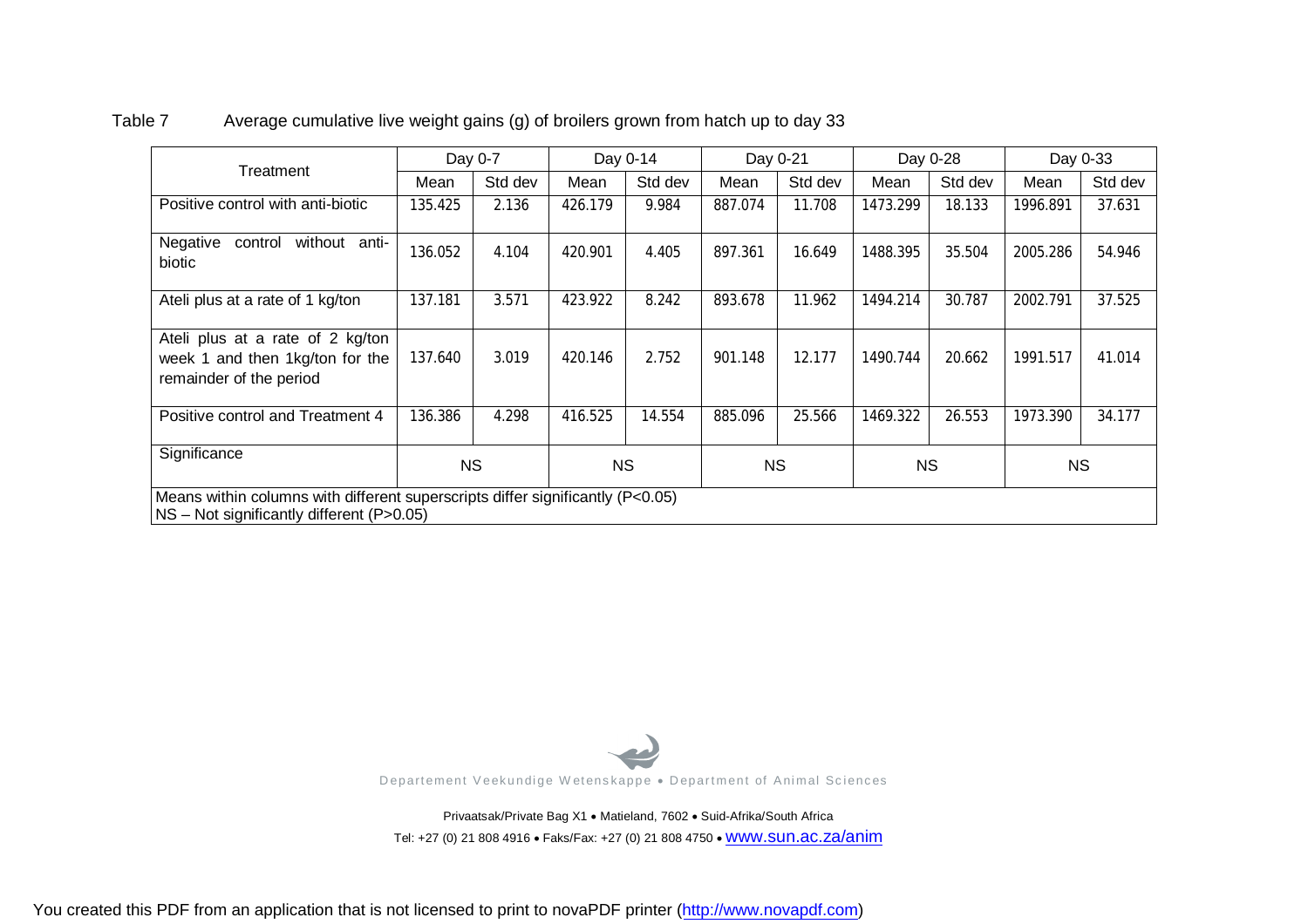|                                                                                                                             |           | Day 0-7 |           | Day 0-14 |           | Day 0-21 |           | Day 0-28 |           | Day 0-33 |  |
|-----------------------------------------------------------------------------------------------------------------------------|-----------|---------|-----------|----------|-----------|----------|-----------|----------|-----------|----------|--|
| Treatment                                                                                                                   | Mean      | Std dev | Mean      | Std dev  | Mean      | Std dev  | Mean      | Std dev  | Mean      | Std dev  |  |
| Positive control with anti-biotic                                                                                           | 135.425   | 2.136   | 426.179   | 9.984    | 887.074   | 11.708   | 1473.299  | 18.133   | 1996.891  | 37.631   |  |
| Negative<br>without anti-<br>control<br>biotic                                                                              | 136.052   | 4.104   | 420.901   | 4.405    | 897.361   | 16.649   | 1488.395  | 35.504   | 2005.286  | 54.946   |  |
| Ateli plus at a rate of 1 kg/ton                                                                                            | 137.181   | 3.571   | 423.922   | 8.242    | 893.678   | 11.962   | 1494.214  | 30.787   | 2002.791  | 37.525   |  |
| Ateli plus at a rate of 2 kg/ton<br>week 1 and then 1kg/ton for the<br>remainder of the period                              | 137.640   | 3.019   | 420.146   | 2.752    | 901.148   | 12.177   | 1490.744  | 20.662   | 1991.517  | 41.014   |  |
| Positive control and Treatment 4                                                                                            | 136.386   | 4.298   | 416.525   | 14.554   | 885.096   | 25.566   | 1469.322  | 26.553   | 1973.390  | 34.177   |  |
| Significance                                                                                                                | <b>NS</b> |         | <b>NS</b> |          | <b>NS</b> |          | <b>NS</b> |          | <b>NS</b> |          |  |
| Means within columns with different superscripts differ significantly (P<0.05)<br>NS – Not significantly different (P>0.05) |           |         |           |          |           |          |           |          |           |          |  |

#### Table 7 Average cumulative live weight gains (g) of broilers grown from hatch up to day 33



Privaatsak/Private Bag X1 . Matieland, 7602 . Suid-Afrika/South Africa Tel: +27 (0) 21 808 4916 · Faks/Fax: +27 (0) 21 808 4750 · WWW.SUN.ac.za/anim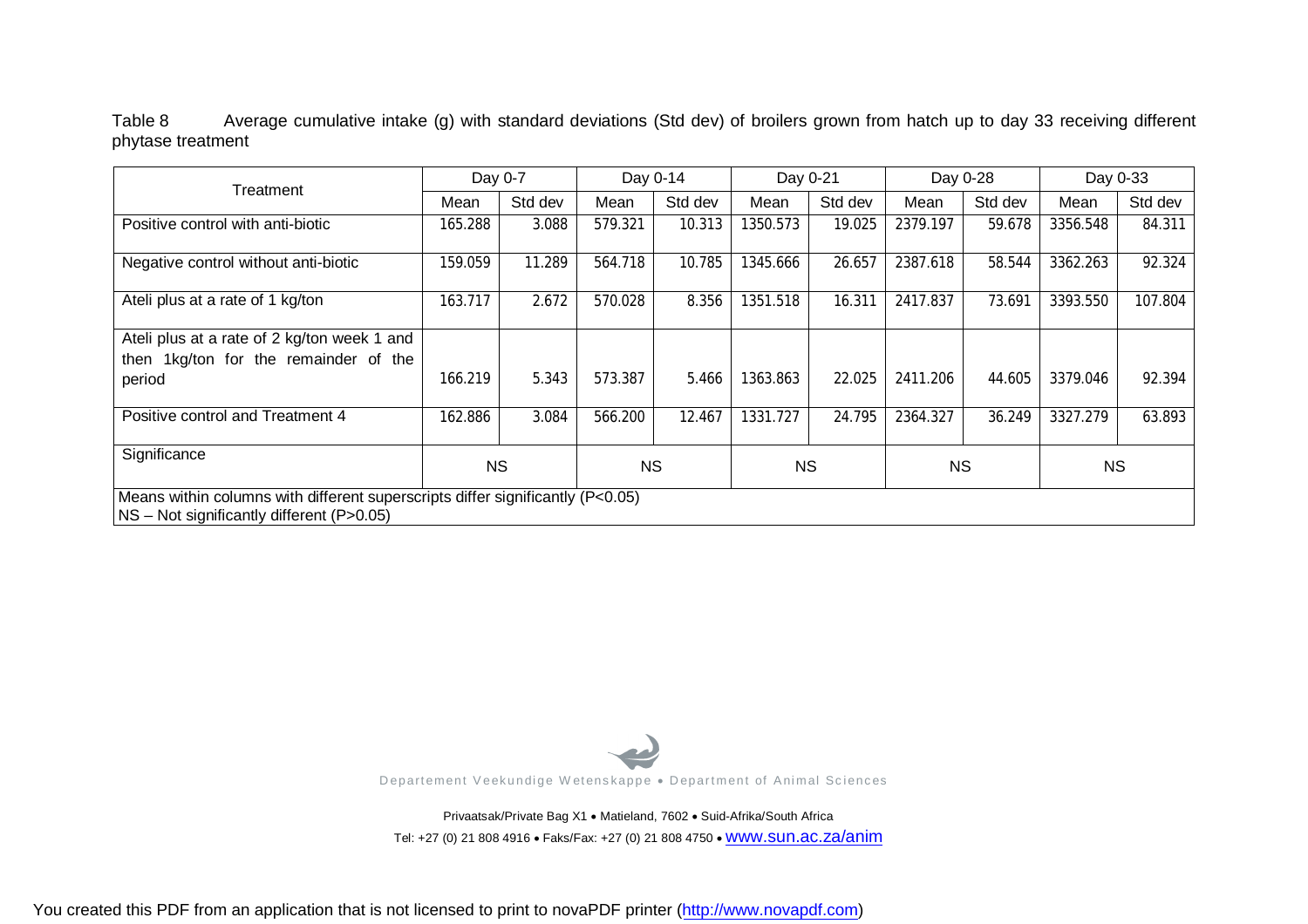Table 8 Average cumulative intake (g) with standard deviations (Std dev) of broilers grown from hatch up to day 33 receiving different phytase treatment

| Treatment                                                                                                                     | Day 0-7 |           | Day 0-14 |         | Day 0-21 |           | Day 0-28 |           | Day 0-33 |           |
|-------------------------------------------------------------------------------------------------------------------------------|---------|-----------|----------|---------|----------|-----------|----------|-----------|----------|-----------|
|                                                                                                                               | Mean    | Std dev   | Mean     | Std dev | Mean     | Std dev   | Mean     | Std dev   | Mean     | Std dev   |
| Positive control with anti-biotic                                                                                             | 165.288 | 3.088     | 579.321  | 10.313  | 1350.573 | 19.025    | 2379.197 | 59.678    | 3356.548 | 84.311    |
| Negative control without anti-biotic                                                                                          | 159.059 | 11.289    | 564.718  | 10.785  | 1345.666 | 26.657    | 2387.618 | 58.544    | 3362.263 | 92.324    |
| Ateli plus at a rate of 1 kg/ton                                                                                              | 163.717 | 2.672     | 570.028  | 8.356   | 1351.518 | 16.311    | 2417.837 | 73.691    | 3393.550 | 107.804   |
| Ateli plus at a rate of 2 kg/ton week 1 and                                                                                   |         |           |          |         |          |           |          |           |          |           |
| then 1kg/ton for the remainder of the                                                                                         |         |           |          |         |          |           |          |           |          |           |
| period                                                                                                                        | 166.219 | 5.343     | 573.387  | 5.466   | 1363.863 | 22.025    | 2411.206 | 44.605    | 3379.046 | 92.394    |
| Positive control and Treatment 4                                                                                              | 162.886 | 3.084     | 566.200  | 12.467  | 1331.727 | 24.795    | 2364.327 | 36.249    | 3327.279 | 63.893    |
| Significance                                                                                                                  |         | <b>NS</b> |          | NS.     |          | <b>NS</b> |          | <b>NS</b> |          | <b>NS</b> |
| Means within columns with different superscripts differ significantly $(P<0.05)$<br>NS - Not significantly different (P>0.05) |         |           |          |         |          |           |          |           |          |           |



Privaatsak/Private Bag X1 . Matieland, 7602 . Suid-Afrika/South Africa Tel: +27 (0) 21 808 4916 · Faks/Fax: +27 (0) 21 808 4750 · WWW.SUN.ac.za/anim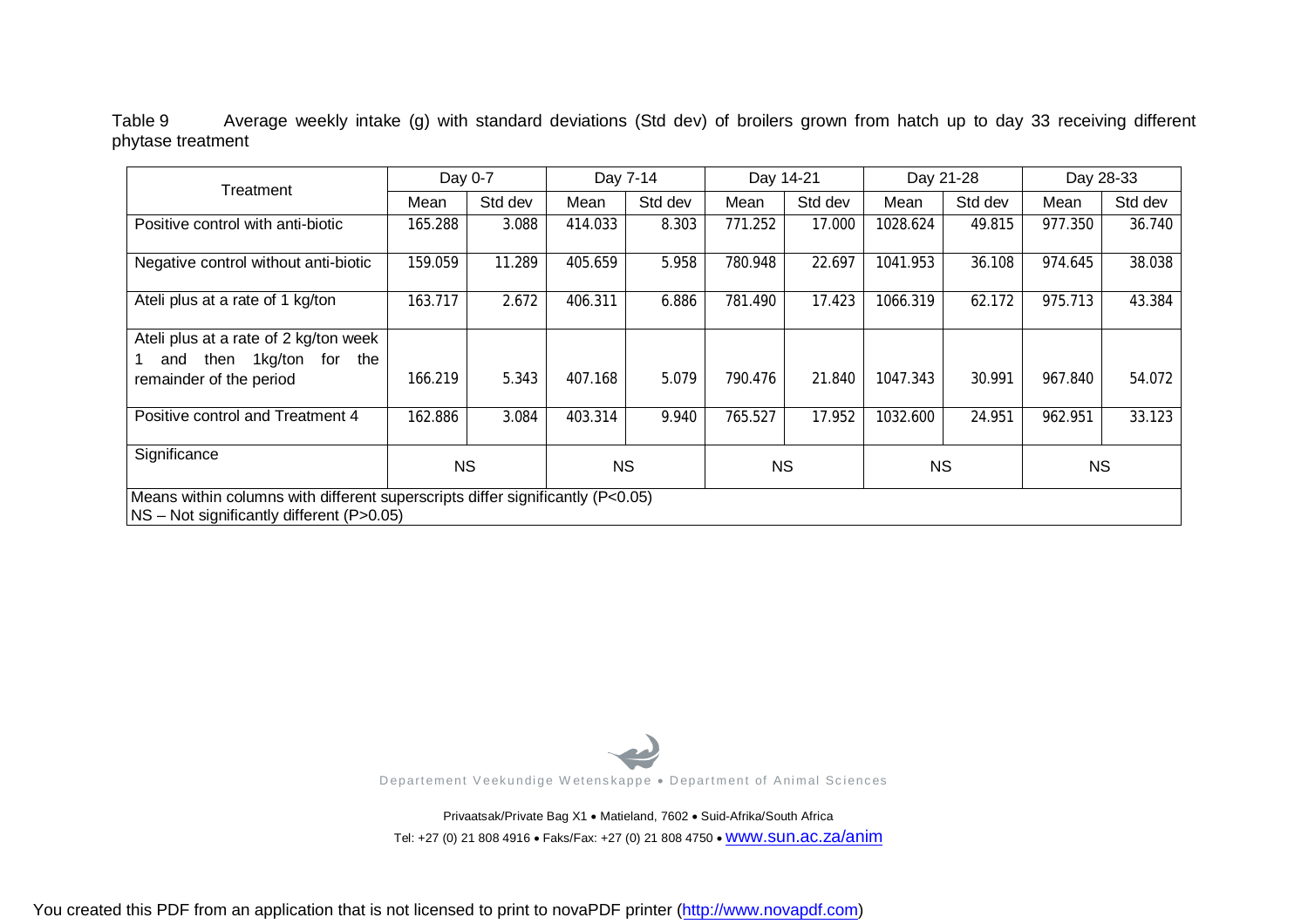Table 9 Average weekly intake (g) with standard deviations (Std dev) of broilers grown from hatch up to day 33 receiving different phytase treatment

| Treatment                                                                                                                     | Day 0-7   |         |           | Day 7-14 |           | Day 14-21 |           | Day 21-28 |           | Day 28-33 |  |
|-------------------------------------------------------------------------------------------------------------------------------|-----------|---------|-----------|----------|-----------|-----------|-----------|-----------|-----------|-----------|--|
|                                                                                                                               | Mean      | Std dev | Mean      | Std dev  | Mean      | Std dev   | Mean      | Std dev   | Mean      | Std dev   |  |
| Positive control with anti-biotic                                                                                             | 165.288   | 3.088   | 414.033   | 8.303    | 771.252   | 17.000    | 1028.624  | 49.815    | 977.350   | 36.740    |  |
| Negative control without anti-biotic                                                                                          | 159.059   | 11.289  | 405.659   | 5.958    | 780.948   | 22.697    | 1041.953  | 36.108    | 974.645   | 38.038    |  |
| Ateli plus at a rate of 1 kg/ton                                                                                              | 163.717   | 2.672   | 406.311   | 6.886    | 781.490   | 17.423    | 1066.319  | 62.172    | 975.713   | 43.384    |  |
| Ateli plus at a rate of 2 kg/ton week<br>1kg/ton for the<br>then<br>and<br>remainder of the period                            | 166.219   | 5.343   | 407.168   | 5.079    | 790.476   | 21.840    | 1047.343  | 30.991    | 967.840   | 54.072    |  |
| Positive control and Treatment 4                                                                                              | 162.886   | 3.084   | 403.314   | 9.940    | 765.527   | 17.952    | 1032.600  | 24.951    | 962.951   | 33.123    |  |
| Significance                                                                                                                  | <b>NS</b> |         | <b>NS</b> |          | <b>NS</b> |           | <b>NS</b> |           | <b>NS</b> |           |  |
| Means within columns with different superscripts differ significantly (P<0.05)<br>$NS - Not$ significantly different (P>0.05) |           |         |           |          |           |           |           |           |           |           |  |



Privaatsak/Private Bag X1 . Matieland, 7602 . Suid-Afrika/South Africa Tel: +27 (0) 21 808 4916 · Faks/Fax: +27 (0) 21 808 4750 · WWW.SUN.ac.za/anim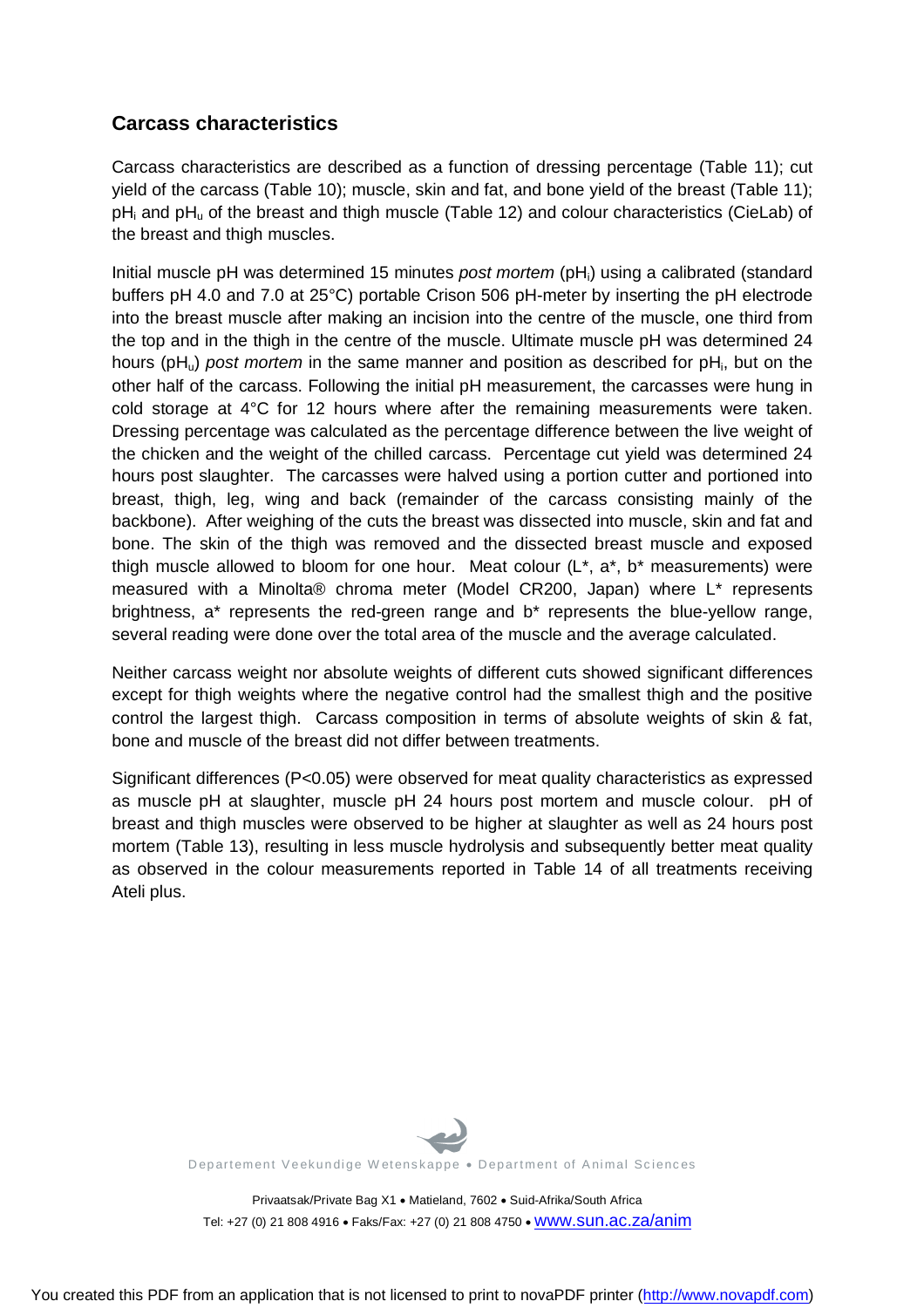## **Carcass characteristics**

Carcass characteristics are described as a function of dressing percentage (Table 11); cut yield of the carcass (Table 10); muscle, skin and fat, and bone yield of the breast (Table 11); pH<sub>i</sub> and pH<sub>u</sub> of the breast and thigh muscle (Table 12) and colour characteristics (CieLab) of the breast and thigh muscles.

Initial muscle pH was determined 15 minutes *post mortem* (pHi) using a calibrated (standard buffers pH 4.0 and 7.0 at 25°C) portable Crison 506 pH-meter by inserting the pH electrode into the breast muscle after making an incision into the centre of the muscle, one third from the top and in the thigh in the centre of the muscle. Ultimate muscle pH was determined 24 hours (pH<sub>u</sub>) *post mortem* in the same manner and position as described for pH<sub>i</sub>, but on the other half of the carcass. Following the initial pH measurement, the carcasses were hung in cold storage at 4°C for 12 hours where after the remaining measurements were taken. Dressing percentage was calculated as the percentage difference between the live weight of the chicken and the weight of the chilled carcass. Percentage cut yield was determined 24 hours post slaughter. The carcasses were halved using a portion cutter and portioned into breast, thigh, leg, wing and back (remainder of the carcass consisting mainly of the backbone). After weighing of the cuts the breast was dissected into muscle, skin and fat and bone. The skin of the thigh was removed and the dissected breast muscle and exposed thigh muscle allowed to bloom for one hour. Meat colour  $(L^*, a^*, b^*$  measurements) were measured with a Minolta® chroma meter (Model CR200, Japan) where L\* represents brightness, a\* represents the red-green range and b\* represents the blue-yellow range, several reading were done over the total area of the muscle and the average calculated.

Neither carcass weight nor absolute weights of different cuts showed significant differences except for thigh weights where the negative control had the smallest thigh and the positive control the largest thigh. Carcass composition in terms of absolute weights of skin & fat, bone and muscle of the breast did not differ between treatments.

Significant differences (P<0.05) were observed for meat quality characteristics as expressed as muscle pH at slaughter, muscle pH 24 hours post mortem and muscle colour. pH of breast and thigh muscles were observed to be higher at slaughter as well as 24 hours post mortem (Table 13), resulting in less muscle hydrolysis and subsequently better meat quality as observed in the colour measurements reported in Table 14 of all treatments receiving Ateli plus.



Departement Veekundige Wetenskappe . Department of Animal Sciences

Privaatsak/Private Bag X1 · Matieland, 7602 · Suid-Afrika/South Africa Tel: +27 (0) 21 808 4916 • Faks/Fax: +27 (0) 21 808 4750 • WWW.SUN.ac.za/anim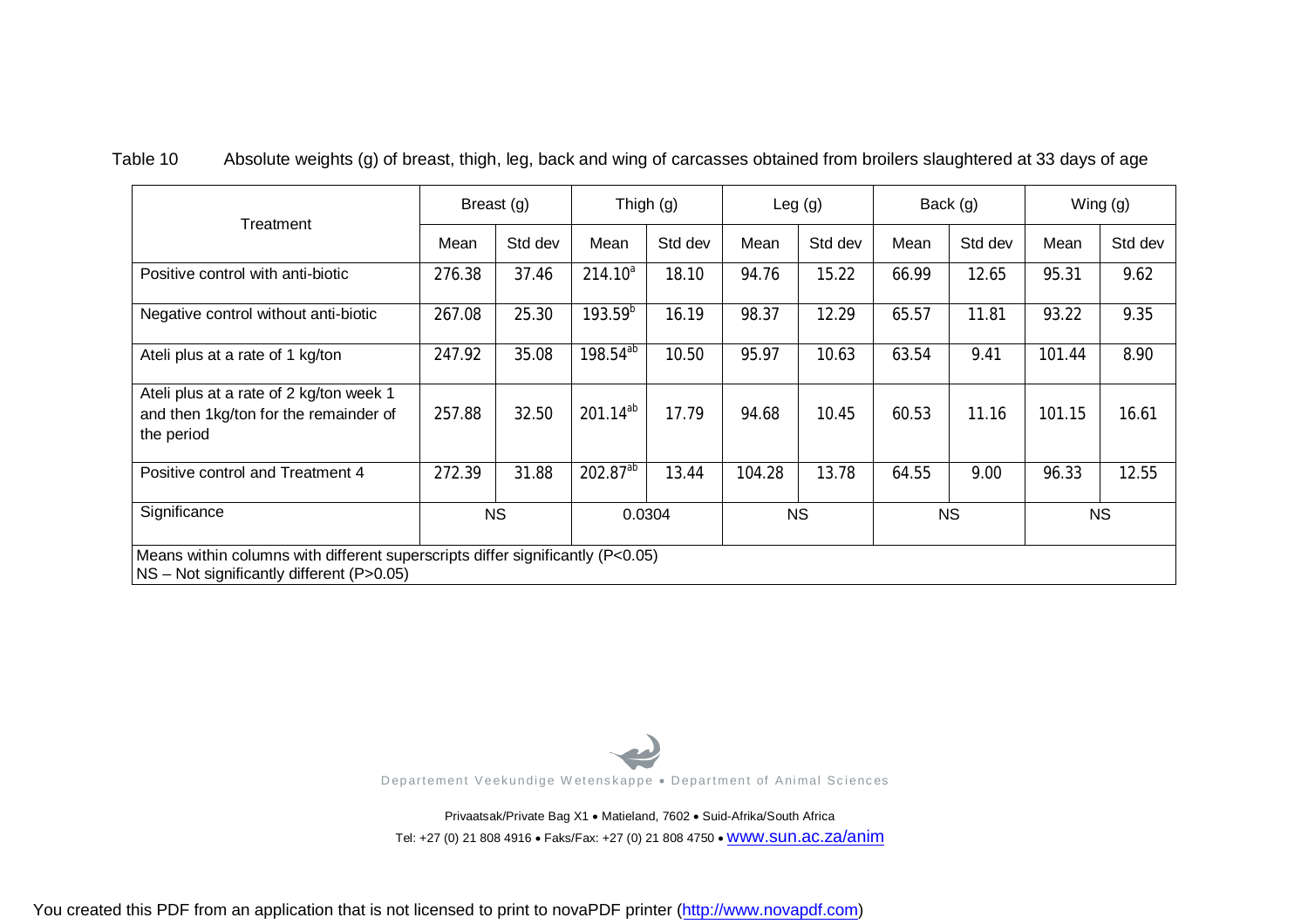Table 10 Absolute weights (g) of breast, thigh, leg, back and wing of carcasses obtained from broilers slaughtered at 33 days of age

|                                                                                                                             | Breast (g) |           |                      | Thigh $(g)$ |        | Leg $(g)$ |       | Back (g)  |        | Wing (g)  |  |
|-----------------------------------------------------------------------------------------------------------------------------|------------|-----------|----------------------|-------------|--------|-----------|-------|-----------|--------|-----------|--|
| Treatment                                                                                                                   | Mean       | Std dev   | Mean                 | Std dev     | Mean   | Std dev   | Mean  | Std dev   | Mean   | Std dev   |  |
| Positive control with anti-biotic                                                                                           | 276.38     | 37.46     | $214.10^{a}$         | 18.10       | 94.76  | 15.22     | 66.99 | 12.65     | 95.31  | 9.62      |  |
| Negative control without anti-biotic                                                                                        | 267.08     | 25.30     | $193.59^{b}$         | 16.19       | 98.37  | 12.29     | 65.57 | 11.81     | 93.22  | 9.35      |  |
| Ateli plus at a rate of 1 kg/ton                                                                                            | 247.92     | 35.08     | 198.54 <sup>ab</sup> | 10.50       | 95.97  | 10.63     | 63.54 | 9.41      | 101.44 | 8.90      |  |
| Ateli plus at a rate of 2 kg/ton week 1<br>and then 1kg/ton for the remainder of<br>the period                              | 257.88     | 32.50     | $201.14^{ab}$        | 17.79       | 94.68  | 10.45     | 60.53 | 11.16     | 101.15 | 16.61     |  |
| Positive control and Treatment 4                                                                                            | 272.39     | 31.88     | $202.87^{ab}$        | 13.44       | 104.28 | 13.78     | 64.55 | 9.00      | 96.33  | 12.55     |  |
| Significance                                                                                                                |            | <b>NS</b> |                      | 0.0304      |        | <b>NS</b> |       | <b>NS</b> |        | <b>NS</b> |  |
| Means within columns with different superscripts differ significantly (P<0.05)<br>NS - Not significantly different (P>0.05) |            |           |                      |             |        |           |       |           |        |           |  |



Privaatsak/Private Bag X1 . Matieland, 7602 . Suid-Afrika/South Africa Tel: +27 (0) 21 808 4916 · Faks/Fax: +27 (0) 21 808 4750 · WWW.SUN.ac.za/anim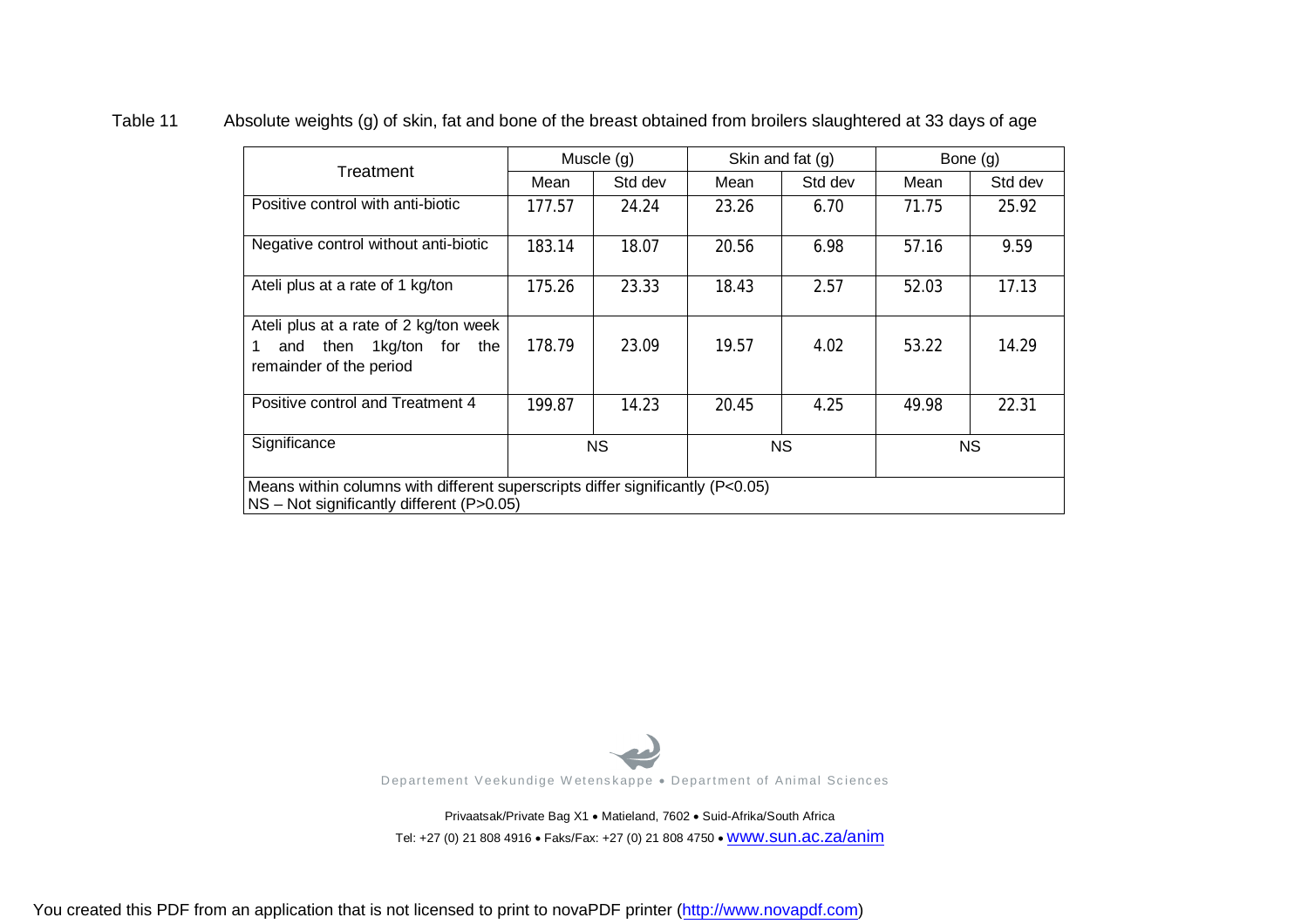| Treatment                                                                                                                     |           | Muscle (g) |       | Skin and fat (g) | Bone (g)  |         |  |  |  |  |
|-------------------------------------------------------------------------------------------------------------------------------|-----------|------------|-------|------------------|-----------|---------|--|--|--|--|
|                                                                                                                               | Mean      | Std dev    | Mean  | Std dev          | Mean      | Std dev |  |  |  |  |
| Positive control with anti-biotic                                                                                             | 177.57    | 24.24      | 23.26 | 6.70             | 71.75     | 25.92   |  |  |  |  |
| Negative control without anti-biotic                                                                                          | 183.14    | 18.07      | 20.56 | 6.98             | 57.16     | 9.59    |  |  |  |  |
| Ateli plus at a rate of 1 kg/ton                                                                                              | 175.26    | 23.33      | 18.43 | 2.57             | 52.03     | 17.13   |  |  |  |  |
| Ateli plus at a rate of 2 kg/ton week<br>and then 1kg/ton for the<br>1<br>remainder of the period                             | 178.79    | 23.09      | 19.57 | 4.02             | 53.22     | 14.29   |  |  |  |  |
| Positive control and Treatment 4                                                                                              | 199.87    | 14.23      | 20.45 | 4.25             | 49.98     | 22.31   |  |  |  |  |
| Significance                                                                                                                  | <b>NS</b> |            |       | <b>NS</b>        | <b>NS</b> |         |  |  |  |  |
| Means within columns with different superscripts differ significantly (P<0.05)<br>$NS - Not$ significantly different (P>0.05) |           |            |       |                  |           |         |  |  |  |  |

#### Table 11 Absolute weights (g) of skin, fat and bone of the breast obtained from broilers slaughtered at 33 days of age



Privaatsak/Private Bag X1 . Matieland, 7602 . Suid-Afrika/South Africa Tel: +27 (0) 21 808 4916 · Faks/Fax: +27 (0) 21 808 4750 · WWW.SUN.ac.za/anim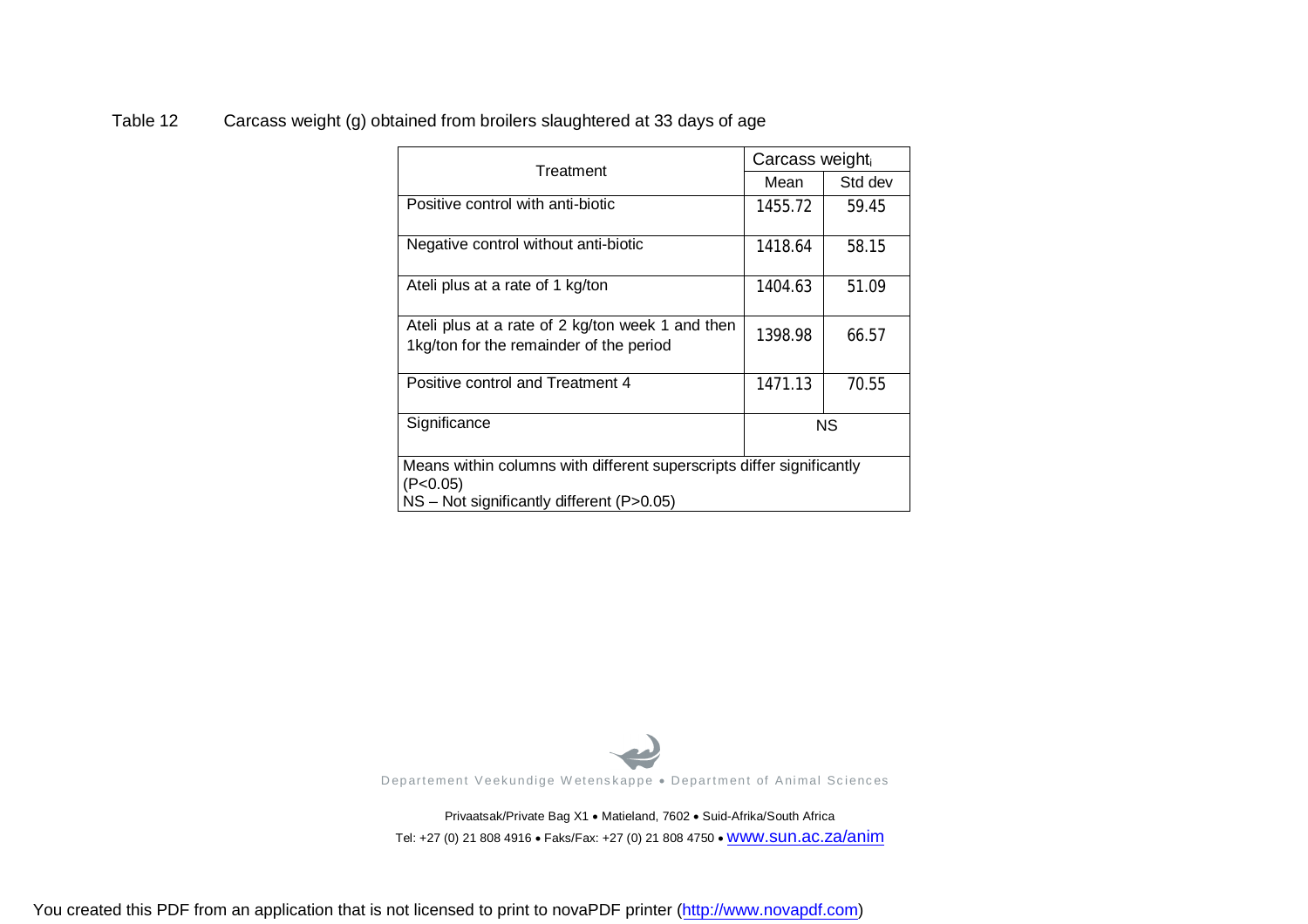#### Table 12 Carcass weight (g) obtained from broilers slaughtered at 33 days of age

| Treatment                                                                                   | Carcass weight <sub>i</sub> |         |
|---------------------------------------------------------------------------------------------|-----------------------------|---------|
|                                                                                             | Mean                        | Std dev |
| Positive control with anti-biotic                                                           | 1455.72                     | 59.45   |
| Negative control without anti-biotic                                                        | 1418.64                     | 58.15   |
| Ateli plus at a rate of 1 kg/ton                                                            | 1404.63                     | 51.09   |
| Ateli plus at a rate of 2 kg/ton week 1 and then<br>1kg/ton for the remainder of the period | 1398.98                     | 66.57   |
| Positive control and Treatment 4                                                            | 1471.13                     | 70.55   |
| Significance                                                                                |                             | ΝS      |
| Means within columns with different superscripts differ significantly<br>(P<0.05)           |                             |         |
| $NS - Not$ significantly different (P>0.05)                                                 |                             |         |



Privaatsak/Private Bag X1 . Matieland, 7602 . Suid-Afrika/South Africa Tel: +27 (0) 21 808 4916 · Faks/Fax: +27 (0) 21 808 4750 · WWW.SUN.ac.za/anim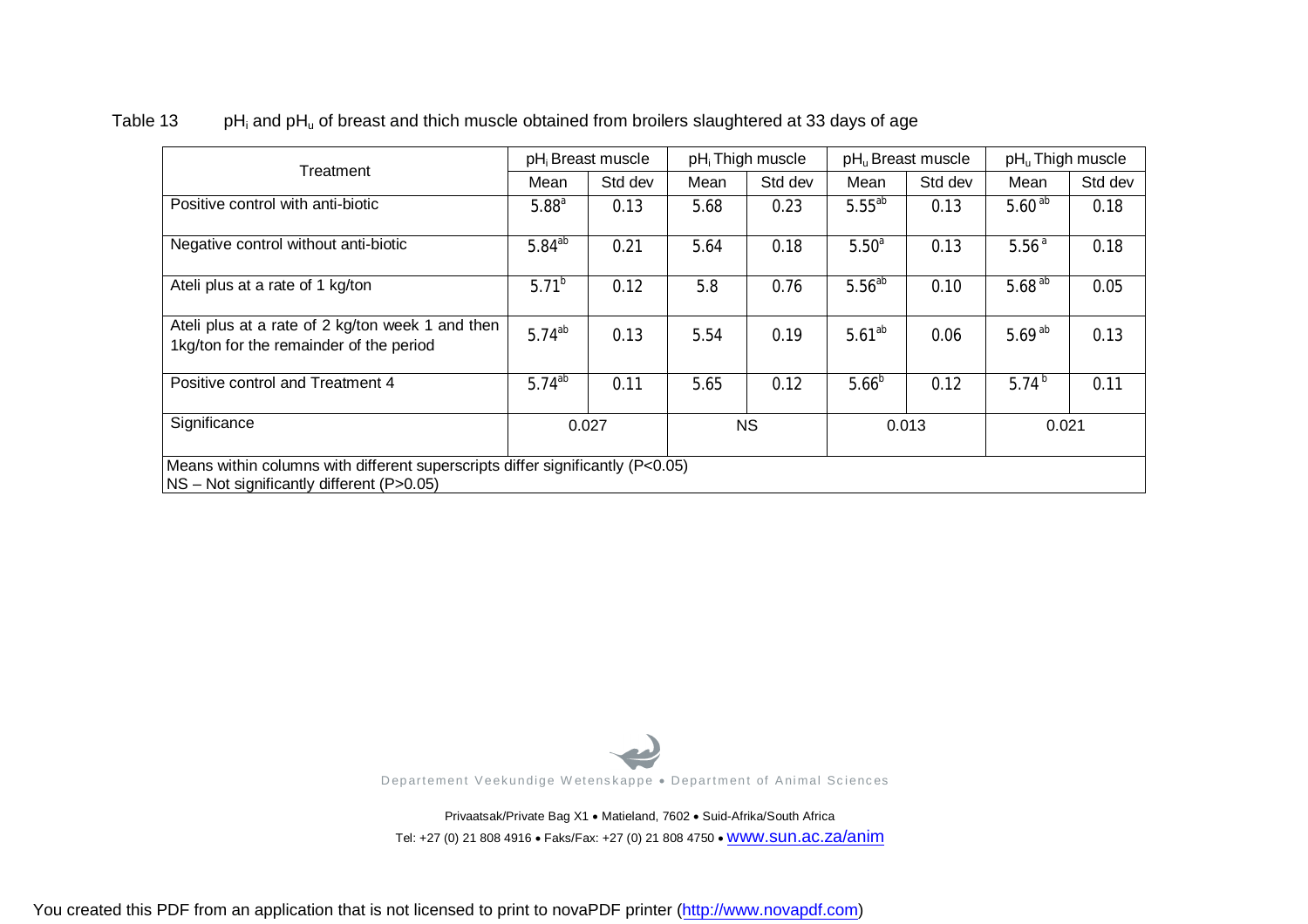| Treatment                                                                                   |                   | pH <sub>i</sub> Breast muscle |           | pH <sub>i</sub> Thigh muscle |                   | pH <sub>u</sub> Breast muscle | pH <sub>u</sub> Thigh muscle |         |
|---------------------------------------------------------------------------------------------|-------------------|-------------------------------|-----------|------------------------------|-------------------|-------------------------------|------------------------------|---------|
|                                                                                             | Mean              | Std dev                       | Mean      | Std dev                      | Mean              | Std dev                       | Mean                         | Std dev |
| Positive control with anti-biotic                                                           | 5.88 <sup>a</sup> | 0.13                          | 5.68      | 0.23                         | $5.55^{ab}$       | 0.13                          | $5.60^{ab}$                  | 0.18    |
| Negative control without anti-biotic                                                        | $5.84^{ab}$       | 0.21                          | 5.64      | 0.18                         | 5.50 <sup>a</sup> | 0.13                          | 5.56 <sup>a</sup>            | 0.18    |
| Ateli plus at a rate of 1 kg/ton                                                            | $5.71^{b}$        | 0.12                          | 5.8       | 0.76                         | $5.56^{ab}$       | 0.10                          | $5.68^{ab}$                  | 0.05    |
| Ateli plus at a rate of 2 kg/ton week 1 and then<br>1kg/ton for the remainder of the period | $5.74^{ab}$       | 0.13                          | 5.54      | 0.19                         | $5.61^{ab}$       | 0.06                          | 5.69 $^{ab}$                 | 0.13    |
| Positive control and Treatment 4                                                            | $5.74^{ab}$       | 0.11                          | 5.65      | 0.12                         | $5.66^{b}$        | 0.12                          | 5.74 $^{b}$                  | 0.11    |
| Significance                                                                                | 0.027             |                               | <b>NS</b> |                              | 0.013             |                               | 0.021                        |         |

#### Table 13  $pH_i$  and  $pH_u$  of breast and thich muscle obtained from broilers slaughtered at 33 days of age



Privaatsak/Private Bag X1 . Matieland, 7602 . Suid-Afrika/South Africa Tel: +27 (0) 21 808 4916 · Faks/Fax: +27 (0) 21 808 4750 · WWW.SUN.ac.za/anim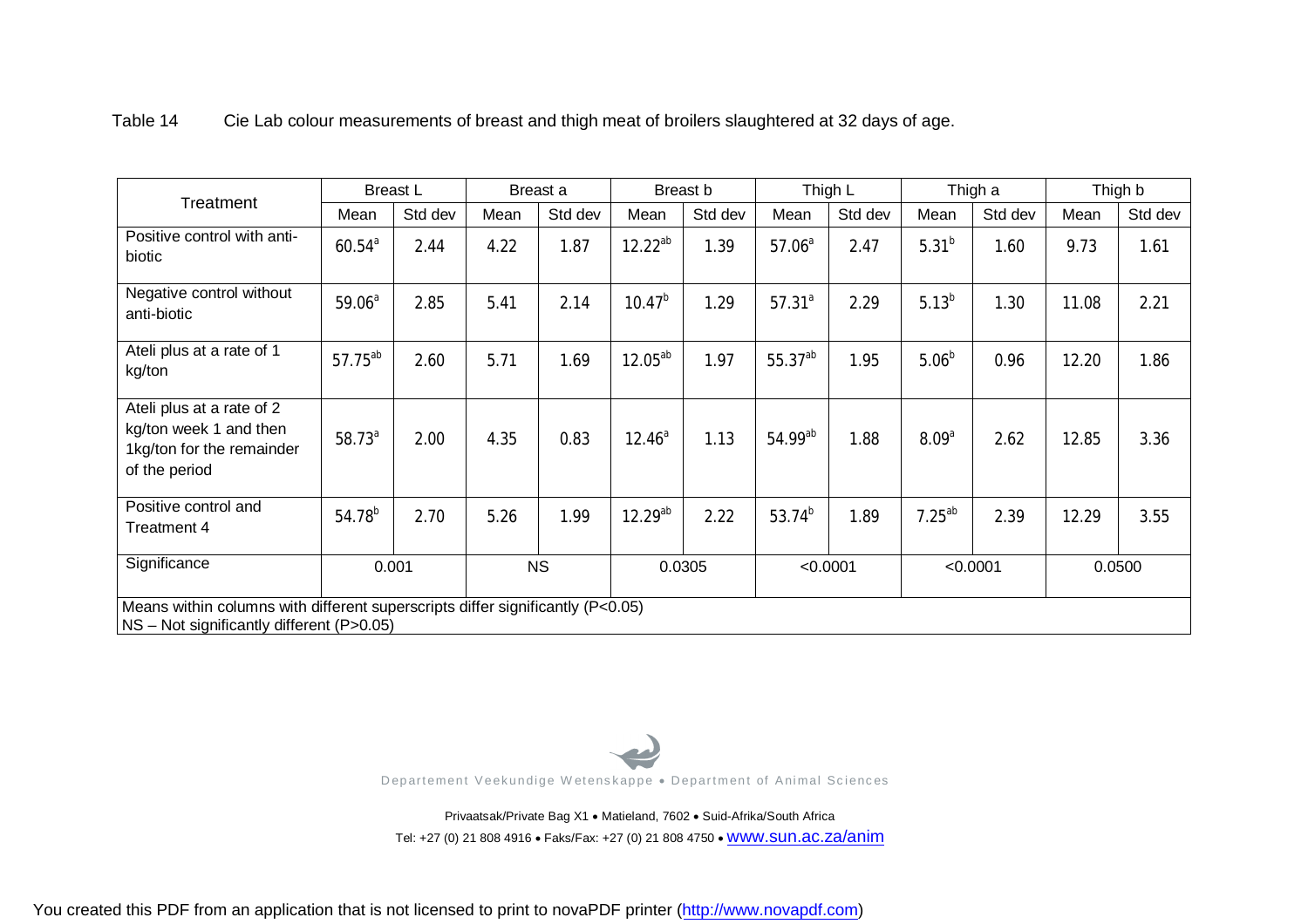| Treatment                                                                                         | <b>Breast L</b>                                                                                                             |         | Breast a |           | Breast b     |         | Thigh L            |          | Thigh a           |          | Thigh b |         |
|---------------------------------------------------------------------------------------------------|-----------------------------------------------------------------------------------------------------------------------------|---------|----------|-----------|--------------|---------|--------------------|----------|-------------------|----------|---------|---------|
|                                                                                                   | Mean                                                                                                                        | Std dev | Mean     | Std dev   | Mean         | Std dev | Mean               | Std dev  | Mean              | Std dev  | Mean    | Std dev |
| Positive control with anti-<br>biotic                                                             | $60.54^{a}$                                                                                                                 | 2.44    | 4.22     | 1.87      | $12.22^{ab}$ | 1.39    | 57.06 <sup>a</sup> | 2.47     | 5.31 <sup>b</sup> | 1.60     | 9.73    | 1.61    |
| Negative control without<br>anti-biotic                                                           | 59.06 <sup>a</sup>                                                                                                          | 2.85    | 5.41     | 2.14      | $10.47^{b}$  | 1.29    | $57.31^{a}$        | 2.29     | $5.13^{b}$        | 1.30     | 11.08   | 2.21    |
| Ateli plus at a rate of 1<br>kg/ton                                                               | $57.75^{ab}$                                                                                                                | 2.60    | 5.71     | 1.69      | $12.05^{ab}$ | 1.97    | 55.37ab            | 1.95     | 5.06 <sup>b</sup> | 0.96     | 12.20   | 1.86    |
| Ateli plus at a rate of 2<br>kg/ton week 1 and then<br>1kg/ton for the remainder<br>of the period | $58.73^{a}$                                                                                                                 | 2.00    | 4.35     | 0.83      | $12.46^a$    | 1.13    | 54.99ab            | 1.88     | 8.09 <sup>a</sup> | 2.62     | 12.85   | 3.36    |
| Positive control and<br>Treatment 4                                                               | $54.78^{b}$                                                                                                                 | 2.70    | 5.26     | 1.99      | $12.29^{ab}$ | 2.22    | $53.74^{b}$        | 1.89     | $7.25^{ab}$       | 2.39     | 12.29   | 3.55    |
| Significance                                                                                      |                                                                                                                             | 0.001   |          | <b>NS</b> |              | 0.0305  |                    | < 0.0001 |                   | < 0.0001 |         | 0.0500  |
|                                                                                                   | Means within columns with different superscripts differ significantly (P<0.05)<br>NS - Not significantly different (P>0.05) |         |          |           |              |         |                    |          |                   |          |         |         |

Table 14 Cie Lab colour measurements of breast and thigh meat of broilers slaughtered at 32 days of age.



Privaatsak/Private Bag X1 . Matieland, 7602 . Suid-Afrika/South Africa Tel: +27 (0) 21 808 4916 · Faks/Fax: +27 (0) 21 808 4750 · WWW.SUN.ac.za/anim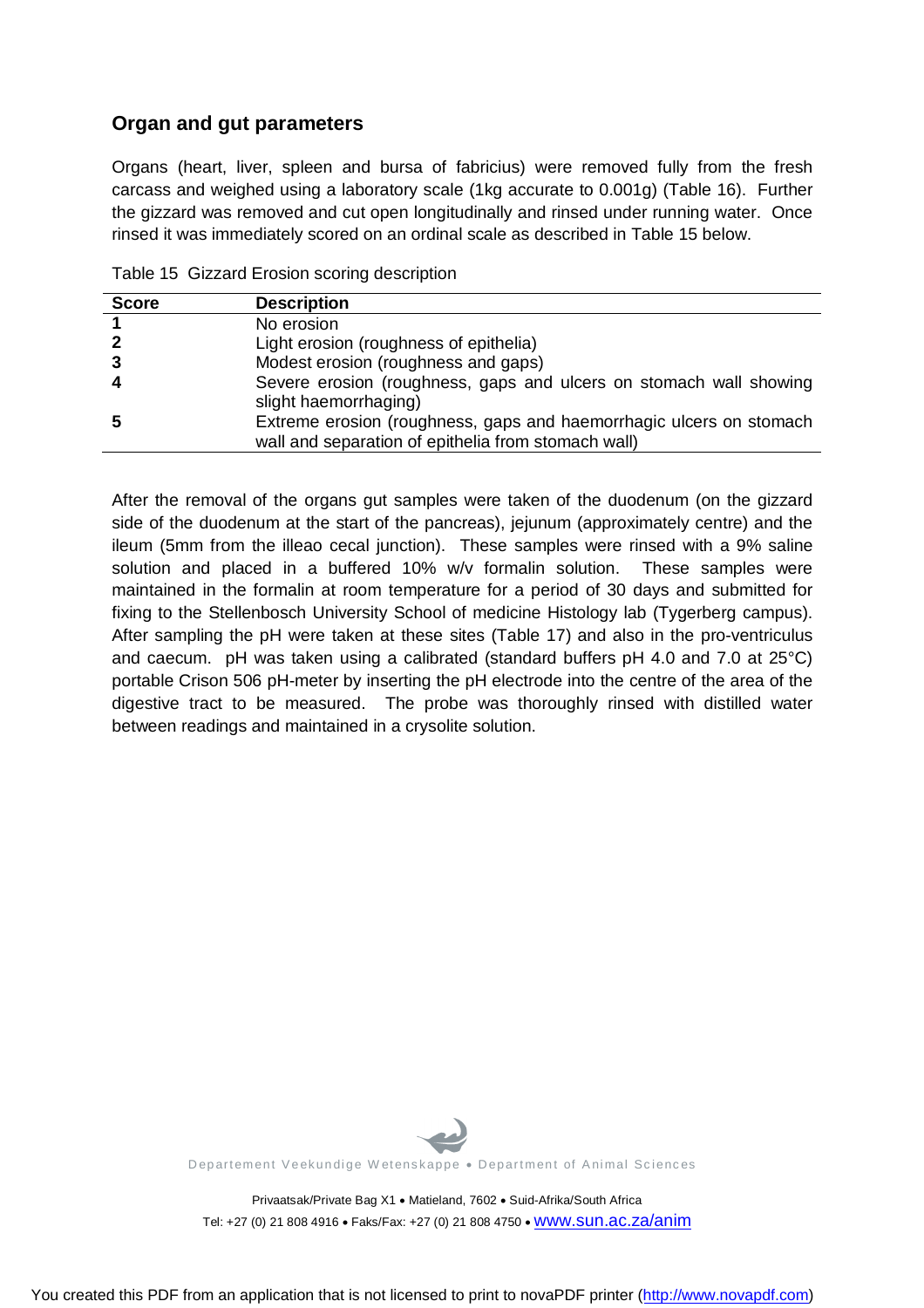### **Organ and gut parameters**

Organs (heart, liver, spleen and bursa of fabricius) were removed fully from the fresh carcass and weighed using a laboratory scale (1kg accurate to 0.001g) (Table 16). Further the gizzard was removed and cut open longitudinally and rinsed under running water. Once rinsed it was immediately scored on an ordinal scale as described in Table 15 below.

| <b>Score</b> | <b>Description</b>                                                                                                         |
|--------------|----------------------------------------------------------------------------------------------------------------------------|
|              | No erosion                                                                                                                 |
|              | Light erosion (roughness of epithelia)                                                                                     |
| 3            | Modest erosion (roughness and gaps)                                                                                        |
| 4            | Severe erosion (roughness, gaps and ulcers on stomach wall showing<br>slight haemorrhaging)                                |
| 5            | Extreme erosion (roughness, gaps and haemorrhagic ulcers on stomach<br>wall and separation of epithelia from stomach wall) |

|  |  |  |  | Table 15 Gizzard Erosion scoring description |
|--|--|--|--|----------------------------------------------|
|--|--|--|--|----------------------------------------------|

After the removal of the organs gut samples were taken of the duodenum (on the gizzard side of the duodenum at the start of the pancreas), jejunum (approximately centre) and the ileum (5mm from the illeao cecal junction). These samples were rinsed with a 9% saline solution and placed in a buffered 10% w/v formalin solution. These samples were maintained in the formalin at room temperature for a period of 30 days and submitted for fixing to the Stellenbosch University School of medicine Histology lab (Tygerberg campus). After sampling the pH were taken at these sites (Table 17) and also in the pro-ventriculus and caecum. pH was taken using a calibrated (standard buffers pH 4.0 and 7.0 at 25°C) portable Crison 506 pH-meter by inserting the pH electrode into the centre of the area of the digestive tract to be measured. The probe was thoroughly rinsed with distilled water between readings and maintained in a crysolite solution.



Departement Veekundige Wetenskappe . Department of Animal Sciences

Privaatsak/Private Bag X1 · Matieland, 7602 · Suid-Afrika/South Africa Tel: +27 (0) 21 808 4916 • Faks/Fax: +27 (0) 21 808 4750 • WWW.SUN.ac.za/anim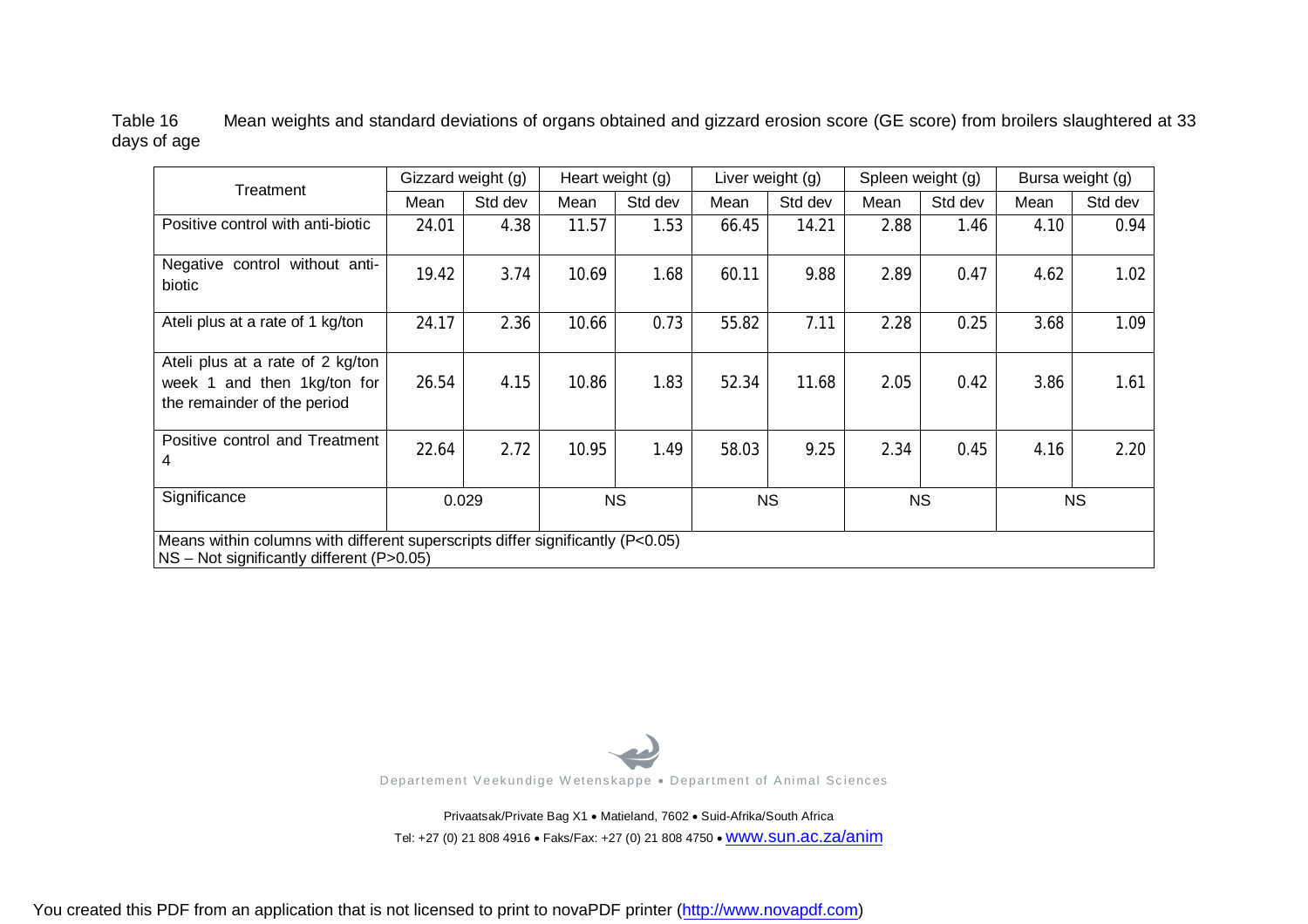Table 16 Mean weights and standard deviations of organs obtained and gizzard erosion score (GE score) from broilers slaughtered at 33 days of age

| Treatment                                                                                                                         | Gizzard weight (g) |         | Heart weight (g) |         | Liver weight (g) |         | Spleen weight (g) |         | Bursa weight (g) |         |
|-----------------------------------------------------------------------------------------------------------------------------------|--------------------|---------|------------------|---------|------------------|---------|-------------------|---------|------------------|---------|
|                                                                                                                                   | Mean               | Std dev | Mean             | Std dev | Mean             | Std dev | Mean              | Std dev | Mean             | Std dev |
| Positive control with anti-biotic                                                                                                 | 24.01              | 4.38    | 11.57            | 1.53    | 66.45            | 14.21   | 2.88              | 1.46    | 4.10             | 0.94    |
| Negative control without anti-<br>biotic                                                                                          | 19.42              | 3.74    | 10.69            | 1.68    | 60.11            | 9.88    | 2.89              | 0.47    | 4.62             | 1.02    |
| Ateli plus at a rate of 1 kg/ton                                                                                                  | 24.17              | 2.36    | 10.66            | 0.73    | 55.82            | 7.11    | 2.28              | 0.25    | 3.68             | 1.09    |
| Ateli plus at a rate of 2 kg/ton<br>week 1 and then 1kg/ton for<br>the remainder of the period                                    | 26.54              | 4.15    | 10.86            | 1.83    | 52.34            | 11.68   | 2.05              | 0.42    | 3.86             | 1.61    |
| Positive control and Treatment<br>4                                                                                               | 22.64              | 2.72    | 10.95            | 1.49    | 58.03            | 9.25    | 2.34              | 0.45    | 4.16             | 2.20    |
| Significance                                                                                                                      | 0.029              |         | <b>NS</b>        |         | <b>NS</b>        |         | <b>NS</b>         |         | <b>NS</b>        |         |
| Means within columns with different superscripts differ significantly (P<0.05)<br>$NS - Not$ significantly different (P $>0.05$ ) |                    |         |                  |         |                  |         |                   |         |                  |         |



Privaatsak/Private Bag X1 · Matieland, 7602 · Suid-Afrika/South Africa Tel: +27 (0) 21 808 4916 · Faks/Fax: +27 (0) 21 808 4750 · WWW.SUN.ac.za/anim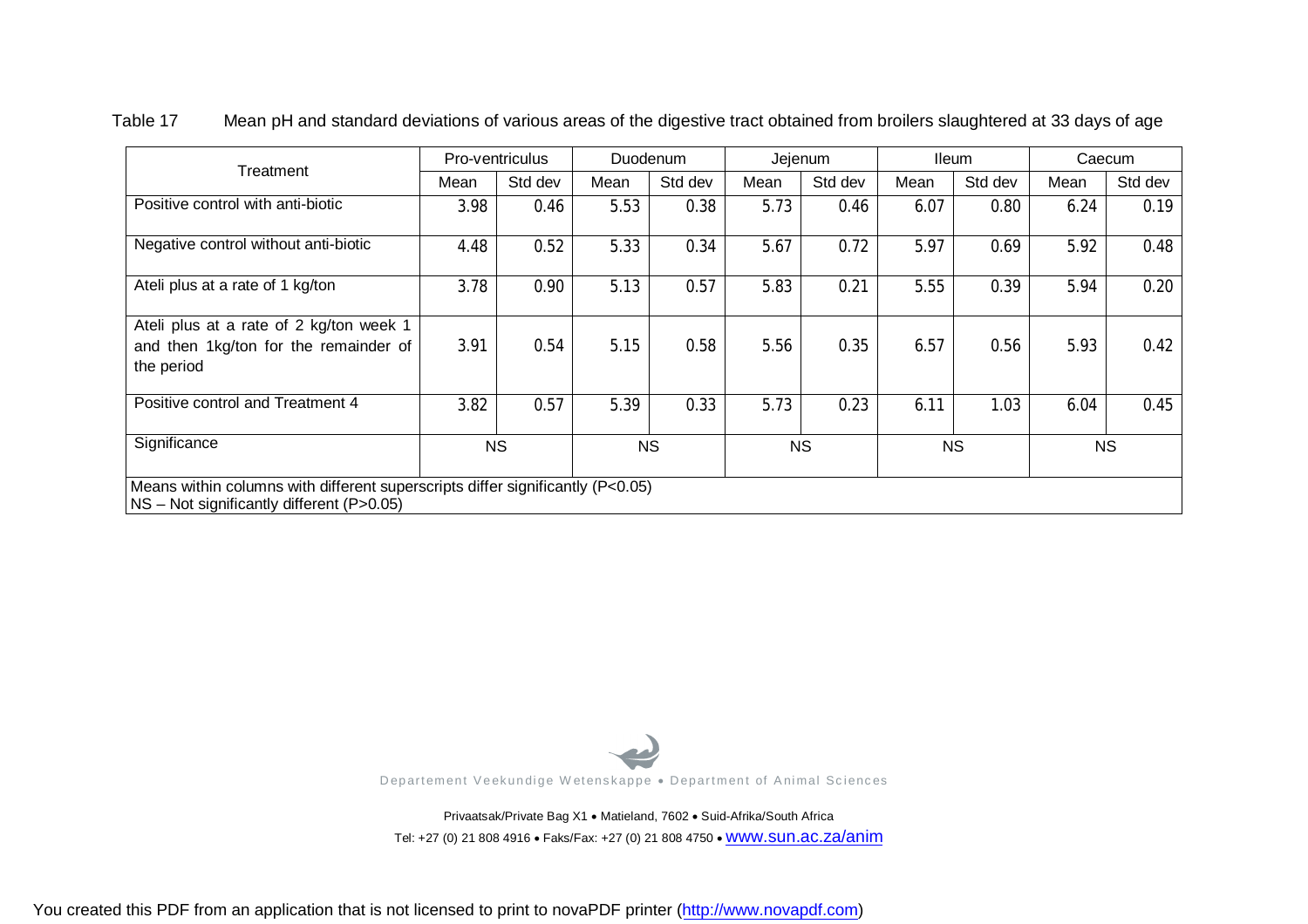|                                                                                                                                     | Pro-ventriculus |           | Duodenum |           | Jejenum |           | <b>Ileum</b> |           | Caecum |           |
|-------------------------------------------------------------------------------------------------------------------------------------|-----------------|-----------|----------|-----------|---------|-----------|--------------|-----------|--------|-----------|
| Treatment                                                                                                                           | Mean            | Std dev   | Mean     | Std dev   | Mean    | Std dev   | Mean         | Std dev   | Mean   | Std dev   |
| Positive control with anti-biotic                                                                                                   | 3.98            | 0.46      | 5.53     | 0.38      | 5.73    | 0.46      | 6.07         | 0.80      | 6.24   | 0.19      |
| Negative control without anti-biotic                                                                                                | 4.48            | 0.52      | 5.33     | 0.34      | 5.67    | 0.72      | 5.97         | 0.69      | 5.92   | 0.48      |
| Ateli plus at a rate of 1 kg/ton                                                                                                    | 3.78            | 0.90      | 5.13     | 0.57      | 5.83    | 0.21      | 5.55         | 0.39      | 5.94   | 0.20      |
| Ateli plus at a rate of 2 kg/ton week 1<br>and then 1kg/ton for the remainder of<br>the period                                      | 3.91            | 0.54      | 5.15     | 0.58      | 5.56    | 0.35      | 6.57         | 0.56      | 5.93   | 0.42      |
| Positive control and Treatment 4                                                                                                    | 3.82            | 0.57      | 5.39     | 0.33      | 5.73    | 0.23      | 6.11         | 1.03      | 6.04   | 0.45      |
| Significance                                                                                                                        |                 | <b>NS</b> |          | <b>NS</b> |         | <b>NS</b> |              | <b>NS</b> |        | <b>NS</b> |
| Means within columns with different superscripts differ significantly $(P<0.05)$<br>$NS - Not$ significantly different (P $>0.05$ ) |                 |           |          |           |         |           |              |           |        |           |

Table 17 Mean pH and standard deviations of various areas of the digestive tract obtained from broilers slaughtered at 33 days of age



Privaatsak/Private Bag X1 · Matieland, 7602 · Suid-Afrika/South Africa Tel: +27 (0) 21 808 4916 · Faks/Fax: +27 (0) 21 808 4750 · WWW.SUN.ac.za/anim